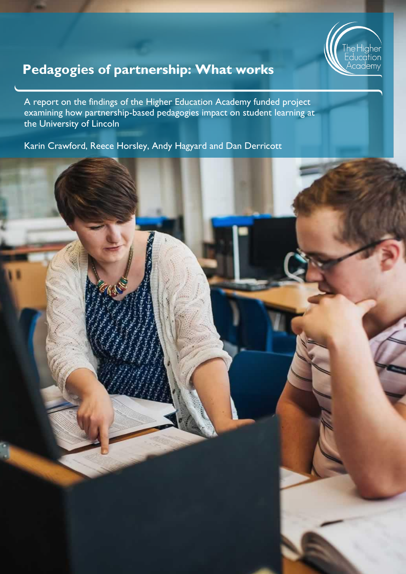

# **Pedagogies of partnership: What works**

A report on the findings of the Higher Education Academy funded project examining how partnership-based pedagogies impact on student learning at the University of Lincoln

Karin Crawford, Reece Horsley, Andy Hagyard and Dan Derricott

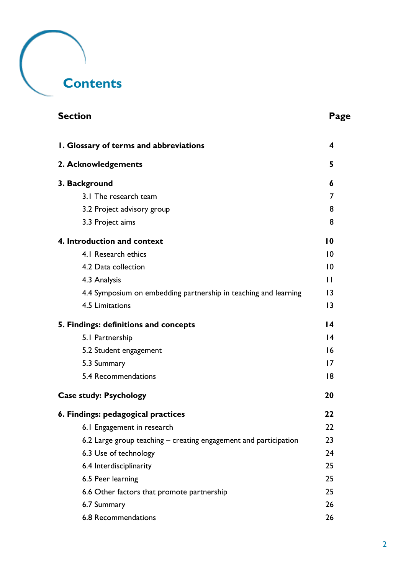# **Contents**

| <b>Section</b>                                                   | Page            |
|------------------------------------------------------------------|-----------------|
| I. Glossary of terms and abbreviations                           | 4               |
| 2. Acknowledgements                                              | 5               |
| 3. Background                                                    | 6               |
| 3.1 The research team                                            | 7               |
| 3.2 Project advisory group                                       | 8               |
| 3.3 Project aims                                                 | 8               |
| 4. Introduction and context                                      | $\overline{10}$ |
| 4.1 Research ethics                                              | 10              |
| 4.2 Data collection                                              | 10              |
| 4.3 Analysis                                                     | $\mathbf{H}$    |
| 4.4 Symposium on embedding partnership in teaching and learning  | 3               |
| 4.5 Limitations                                                  | 3               |
| 5. Findings: definitions and concepts                            | $\overline{14}$ |
| 5.1 Partnership                                                  | $\overline{14}$ |
| 5.2 Student engagement                                           | 16              |
| 5.3 Summary                                                      | 17              |
| 5.4 Recommendations                                              | 8               |
| <b>Case study: Psychology</b>                                    | 20              |
| 6. Findings: pedagogical practices                               | 22              |
| 6.1 Engagement in research                                       | 22              |
| 6.2 Large group teaching - creating engagement and participation | 23              |
| 6.3 Use of technology                                            | 24              |
| 6.4 Interdisciplinarity                                          | 25              |
| 6.5 Peer learning                                                | 25              |
| 6.6 Other factors that promote partnership                       | 25              |
| 6.7 Summary                                                      | 26              |
| 6.8 Recommendations                                              | 26              |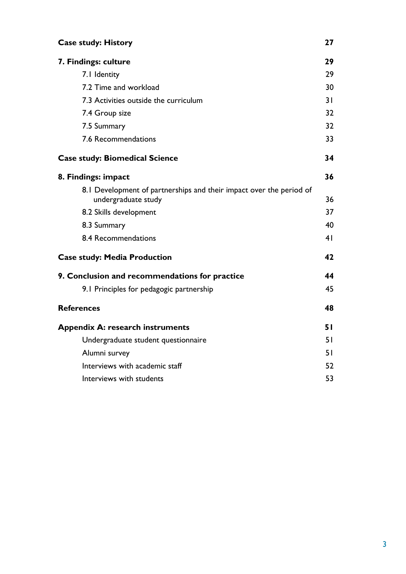| <b>Case study: History</b>                                                                 |                |
|--------------------------------------------------------------------------------------------|----------------|
| 7. Findings: culture                                                                       | 29             |
| 7.1 Identity                                                                               | 29             |
| 7.2 Time and workload                                                                      | 30             |
| 7.3 Activities outside the curriculum                                                      | 31             |
| 7.4 Group size                                                                             | 32             |
| 7.5 Summary                                                                                | 32             |
| 7.6 Recommendations                                                                        | 33             |
| <b>Case study: Biomedical Science</b>                                                      | 34             |
| 8. Findings: impact                                                                        | 36             |
| 8.1 Development of partnerships and their impact over the period of<br>undergraduate study | 36             |
| 8.2 Skills development                                                                     | 37             |
| 8.3 Summary                                                                                | 40             |
| 8.4 Recommendations                                                                        | 4 <sup>1</sup> |
| <b>Case study: Media Production</b>                                                        | 42             |
| 9. Conclusion and recommendations for practice                                             | 44             |
| 9.1 Principles for pedagogic partnership                                                   | 45             |
| <b>References</b>                                                                          | 48             |
| <b>Appendix A: research instruments</b>                                                    | 51             |
| Undergraduate student questionnaire                                                        | 51             |
| Alumni survey                                                                              | 51             |
| Interviews with academic staff                                                             | 52             |
| Interviews with students                                                                   | 53             |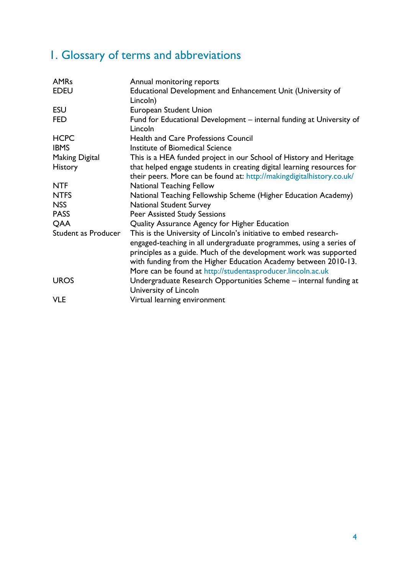# <span id="page-3-0"></span>1. Glossary of terms and abbreviations

| Annual monitoring reports                                              |
|------------------------------------------------------------------------|
| Educational Development and Enhancement Unit (University of            |
| Lincoln)                                                               |
| <b>European Student Union</b>                                          |
| Fund for Educational Development – internal funding at University of   |
| Lincoln                                                                |
| <b>Health and Care Professions Council</b>                             |
| Institute of Biomedical Science                                        |
| This is a HEA funded project in our School of History and Heritage     |
| that helped engage students in creating digital learning resources for |
| their peers. More can be found at: http://makingdigitalhistory.co.uk/  |
| <b>National Teaching Fellow</b>                                        |
| National Teaching Fellowship Scheme (Higher Education Academy)         |
| <b>National Student Survey</b>                                         |
| <b>Peer Assisted Study Sessions</b>                                    |
| Quality Assurance Agency for Higher Education                          |
| This is the University of Lincoln's initiative to embed research-      |
| engaged-teaching in all undergraduate programmes, using a series of    |
| principles as a guide. Much of the development work was supported      |
| with funding from the Higher Education Academy between 2010-13.        |
| More can be found at http://studentasproducer.lincoln.ac.uk            |
| Undergraduate Research Opportunities Scheme - internal funding at      |
| University of Lincoln                                                  |
| Virtual learning environment                                           |
|                                                                        |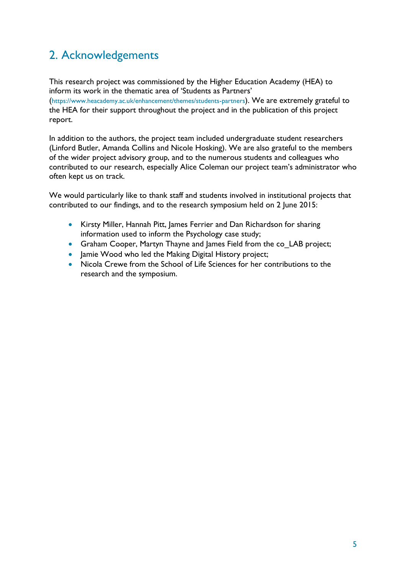# <span id="page-4-0"></span>2. Acknowledgements

This research project was commissioned by the Higher Education Academy (HEA) to inform its work in the thematic area of 'Students as Partners'

(<https://www.heacademy.ac.uk/enhancement/themes/students-partners>). We are extremely grateful to the HEA for their support throughout the project and in the publication of this project report.

In addition to the authors, the project team included undergraduate student researchers (Linford Butler, Amanda Collins and Nicole Hosking). We are also grateful to the members of the wider project advisory group, and to the numerous students and colleagues who contributed to our research, especially Alice Coleman our project team's administrator who often kept us on track.

We would particularly like to thank staff and students involved in institutional projects that contributed to our findings, and to the research symposium held on 2 June 2015:

- Kirsty Miller, Hannah Pitt, James Ferrier and Dan Richardson for sharing information used to inform the Psychology case study;
- Graham Cooper, Martyn Thayne and James Field from the co\_LAB project;
- Jamie Wood who led the Making Digital History project;
- Nicola Crewe from the School of Life Sciences for her contributions to the research and the symposium.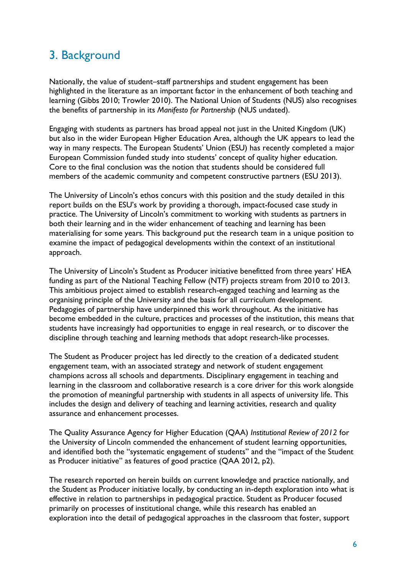## <span id="page-5-0"></span>3. Background

Nationally, the value of student–staff partnerships and student engagement has been highlighted in the literature as an important factor in the enhancement of both teaching and learning (Gibbs 2010; Trowler 2010). The National Union of Students (NUS) also recognises the benefits of partnership in its *Manifesto for Partnership* (NUS undated).

Engaging with students as partners has broad appeal not just in the United Kingdom (UK) but also in the wider European Higher Education Area, although the UK appears to lead the way in many respects. The European Students' Union (ESU) has recently completed a major European Commission funded study into students' concept of quality higher education. Core to the final conclusion was the notion that students should be considered full members of the academic community and competent constructive partners (ESU 2013).

The University of Lincoln's ethos concurs with this position and the study detailed in this report builds on the ESU's work by providing a thorough, impact-focused case study in practice. The University of Lincoln's commitment to working with students as partners in both their learning and in the wider enhancement of teaching and learning has been materialising for some years. This background put the research team in a unique position to examine the impact of pedagogical developments within the context of an institutional approach.

The University of Lincoln's Student as Producer initiative benefitted from three years' HEA funding as part of the National Teaching Fellow (NTF) projects stream from 2010 to 2013. This ambitious project aimed to establish research-engaged teaching and learning as the organising principle of the University and the basis for all curriculum development. Pedagogies of partnership have underpinned this work throughout. As the initiative has become embedded in the culture, practices and processes of the institution, this means that students have increasingly had opportunities to engage in real research, or to discover the discipline through teaching and learning methods that adopt research-like processes.

The Student as Producer project has led directly to the creation of a dedicated student engagement team, with an associated strategy and network of student engagement champions across all schools and departments. Disciplinary engagement in teaching and learning in the classroom and collaborative research is a core driver for this work alongside the promotion of meaningful partnership with students in all aspects of university life. This includes the design and delivery of teaching and learning activities, research and quality assurance and enhancement processes.

The Quality Assurance Agency for Higher Education (QAA) *Institutional Review of 2012* for the University of Lincoln commended the enhancement of student learning opportunities, and identified both the "systematic engagement of students" and the "impact of the Student as Producer initiative" as features of good practice (QAA 2012, p2).

The research reported on herein builds on current knowledge and practice nationally, and the Student as Producer initiative locally, by conducting an in-depth exploration into what is effective in relation to partnerships in pedagogical practice. Student as Producer focused primarily on processes of institutional change, while this research has enabled an exploration into the detail of pedagogical approaches in the classroom that foster, support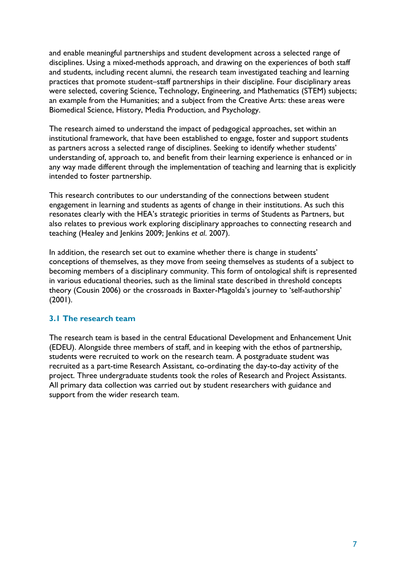and enable meaningful partnerships and student development across a selected range of disciplines. Using a mixed-methods approach, and drawing on the experiences of both staff and students, including recent alumni, the research team investigated teaching and learning practices that promote student–staff partnerships in their discipline. Four disciplinary areas were selected, covering Science, Technology, Engineering, and Mathematics (STEM) subjects; an example from the Humanities; and a subject from the Creative Arts: these areas were Biomedical Science, History, Media Production, and Psychology.

The research aimed to understand the impact of pedagogical approaches, set within an institutional framework, that have been established to engage, foster and support students as partners across a selected range of disciplines. Seeking to identify whether students' understanding of, approach to, and benefit from their learning experience is enhanced or in any way made different through the implementation of teaching and learning that is explicitly intended to foster partnership.

This research contributes to our understanding of the connections between student engagement in learning and students as agents of change in their institutions. As such this resonates clearly with the HEA's strategic priorities in terms of Students as Partners, but also relates to previous work exploring disciplinary approaches to connecting research and teaching (Healey and Jenkins 2009; Jenkins *et al*. 2007).

In addition, the research set out to examine whether there is change in students' conceptions of themselves, as they move from seeing themselves as students of a subject to becoming members of a disciplinary community. This form of ontological shift is represented in various educational theories, such as the liminal state described in threshold concepts theory (Cousin 2006) or the crossroads in Baxter-Magolda's journey to 'self-authorship'  $(2001)$ .

### <span id="page-6-0"></span>**3.1 The research team**

The research team is based in the central Educational Development and Enhancement Unit (EDEU). Alongside three members of staff, and in keeping with the ethos of partnership, students were recruited to work on the research team. A postgraduate student was recruited as a part-time Research Assistant, co-ordinating the day-to-day activity of the project. Three undergraduate students took the roles of Research and Project Assistants. All primary data collection was carried out by student researchers with guidance and support from the wider research team.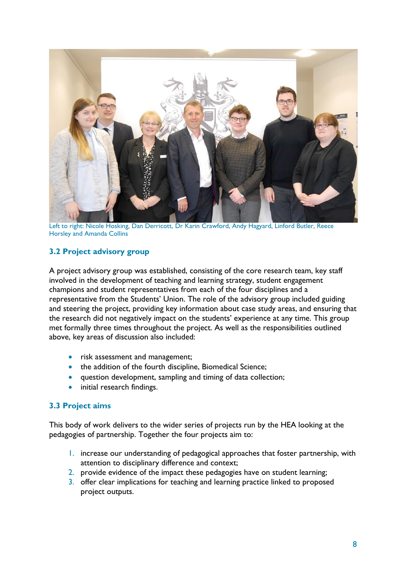

Left to right: Nicole Hosking, Dan Derricott, Dr Karin Crawford, Andy Hagyard, Linford Butler, Reece Horsley and Amanda Collins

## <span id="page-7-0"></span>**3.2 Project advisory group**

A project advisory group was established, consisting of the core research team, key staff involved in the development of teaching and learning strategy, student engagement champions and student representatives from each of the four disciplines and a representative from the Students' Union. The role of the advisory group included guiding and steering the project, providing key information about case study areas, and ensuring that the research did not negatively impact on the students' experience at any time. This group met formally three times throughout the project. As well as the responsibilities outlined above, key areas of discussion also included:

- risk assessment and management;
- the addition of the fourth discipline, Biomedical Science;
- question development, sampling and timing of data collection;
- initial research findings.

### <span id="page-7-1"></span>**3.3 Project aims**

This body of work delivers to the wider series of projects run by the HEA looking at the pedagogies of partnership. Together the four projects aim to:

- 1. increase our understanding of pedagogical approaches that foster partnership, with attention to disciplinary difference and context;
- 2. provide evidence of the impact these pedagogies have on student learning;
- 3. offer clear implications for teaching and learning practice linked to proposed project outputs.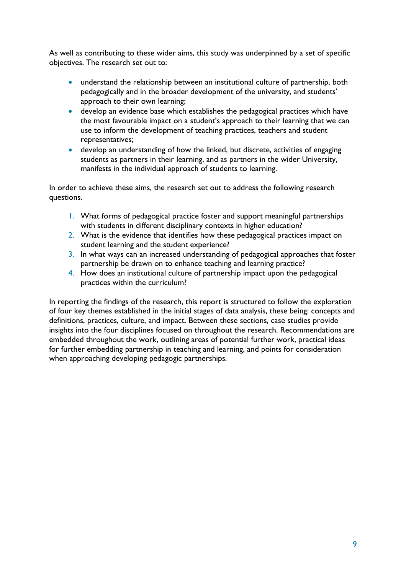As well as contributing to these wider aims, this study was underpinned by a set of specific objectives. The research set out to:

- understand the relationship between an institutional culture of partnership, both pedagogically and in the broader development of the university, and students' approach to their own learning;
- develop an evidence base which establishes the pedagogical practices which have the most favourable impact on a student's approach to their learning that we can use to inform the development of teaching practices, teachers and student representatives;
- develop an understanding of how the linked, but discrete, activities of engaging students as partners in their learning, and as partners in the wider University, manifests in the individual approach of students to learning.

In order to achieve these aims, the research set out to address the following research questions.

- 1. What forms of pedagogical practice foster and support meaningful partnerships with students in different disciplinary contexts in higher education?
- 2. What is the evidence that identifies how these pedagogical practices impact on student learning and the student experience?
- 3. In what ways can an increased understanding of pedagogical approaches that foster partnership be drawn on to enhance teaching and learning practice?
- 4. How does an institutional culture of partnership impact upon the pedagogical practices within the curriculum?

In reporting the findings of the research, this report is structured to follow the exploration of four key themes established in the initial stages of data analysis, these being: concepts and definitions, practices, culture, and impact. Between these sections, case studies provide insights into the four disciplines focused on throughout the research. Recommendations are embedded throughout the work, outlining areas of potential further work, practical ideas for further embedding partnership in teaching and learning, and points for consideration when approaching developing pedagogic partnerships.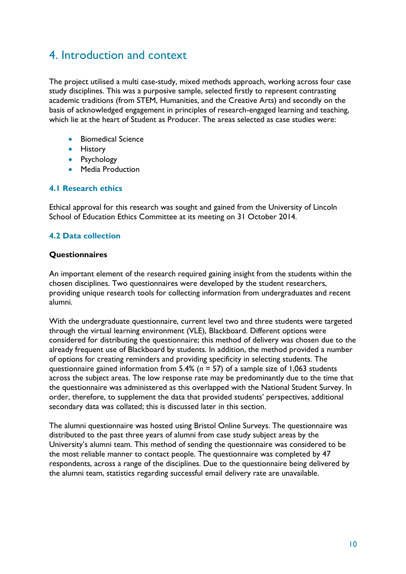## <span id="page-9-0"></span>4. Introduction and context

The project utilised a multi case-study, mixed methods approach, working across four case study disciplines. This was a purposive sample, selected firstly to represent contrasting academic traditions (from STEM, Humanities, and the Creative Arts) and secondly on the basis of acknowledged engagement in principles of research-engaged learning and teaching, which lie at the heart of Student as Producer. The areas selected as case studies were:

- **•** Biomedical Science
- **•** History
- Psychology
- **•** Media Production

### <span id="page-9-1"></span>**4.1 Research ethics**

Ethical approval for this research was sought and gained from the University of Lincoln School of Education Ethics Committee at its meeting on 31 October 2014.

### <span id="page-9-2"></span>**4.2 Data collection**

#### **Questionnaires**

An important element of the research required gaining insight from the students within the chosen disciplines. Two questionnaires were developed by the student researchers, providing unique research tools for collecting information from undergraduates and recent alumni.

With the undergraduate questionnaire, current level two and three students were targeted through the virtual learning environment (VLE), Blackboard. Different options were considered for distributing the questionnaire; this method of delivery was chosen due to the already frequent use of Blackboard by students. In addition, the method provided a number of options for creating reminders and providing specificity in selecting students. The questionnaire gained information from 5.4% (*n* = 57) of a sample size of 1,063 students across the subject areas. The low response rate may be predominantly due to the time that the questionnaire was administered as this overlapped with the National Student Survey. In order, therefore, to supplement the data that provided students' perspectives, additional secondary data was collated; this is discussed later in this section.

The alumni questionnaire was hosted using Bristol Online Surveys. The questionnaire was distributed to the past three years of alumni from case study subject areas by the University's alumni team. This method of sending the questionnaire was considered to be the most reliable manner to contact people. The questionnaire was completed by 47 respondents, across a range of the disciplines. Due to the questionnaire being delivered by the alumni team, statistics regarding successful email delivery rate are unavailable.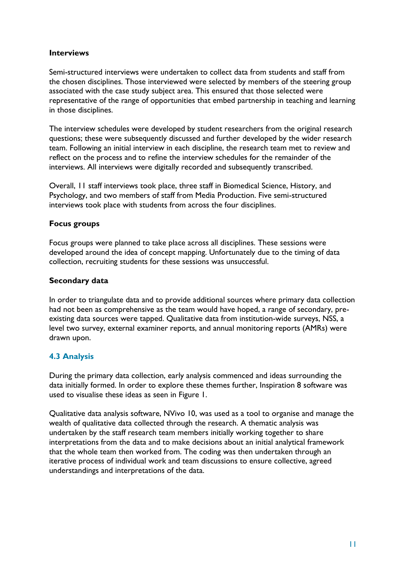### **Interviews**

Semi-structured interviews were undertaken to collect data from students and staff from the chosen disciplines. Those interviewed were selected by members of the steering group associated with the case study subject area. This ensured that those selected were representative of the range of opportunities that embed partnership in teaching and learning in those disciplines.

The interview schedules were developed by student researchers from the original research questions; these were subsequently discussed and further developed by the wider research team. Following an initial interview in each discipline, the research team met to review and reflect on the process and to refine the interview schedules for the remainder of the interviews. All interviews were digitally recorded and subsequently transcribed.

Overall, 11 staff interviews took place, three staff in Biomedical Science, History, and Psychology, and two members of staff from Media Production. Five semi-structured interviews took place with students from across the four disciplines.

## **Focus groups**

Focus groups were planned to take place across all disciplines. These sessions were developed around the idea of concept mapping. Unfortunately due to the timing of data collection, recruiting students for these sessions was unsuccessful.

## **Secondary data**

In order to triangulate data and to provide additional sources where primary data collection had not been as comprehensive as the team would have hoped, a range of secondary, preexisting data sources were tapped. Qualitative data from institution-wide surveys, NSS, a level two survey, external examiner reports, and annual monitoring reports (AMRs) were drawn upon.

## <span id="page-10-0"></span>**4.3 Analysis**

During the primary data collection, early analysis commenced and ideas surrounding the data initially formed. In order to explore these themes further, Inspiration 8 software was used to visualise these ideas as seen in Figure 1.

Qualitative data analysis software, NVivo 10, was used as a tool to organise and manage the wealth of qualitative data collected through the research. A thematic analysis was undertaken by the staff research team members initially working together to share interpretations from the data and to make decisions about an initial analytical framework that the whole team then worked from. The coding was then undertaken through an iterative process of individual work and team discussions to ensure collective, agreed understandings and interpretations of the data.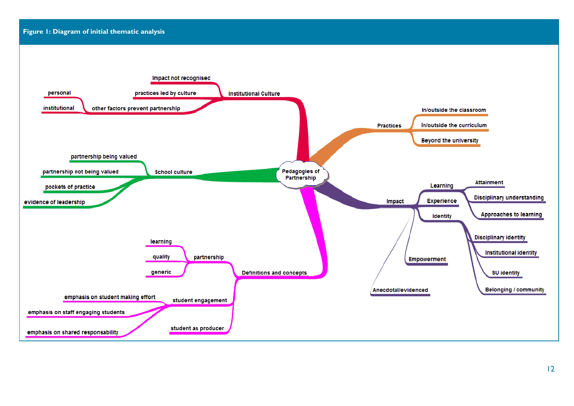#### **Figure 1: Diagram of initial thematic analysis**

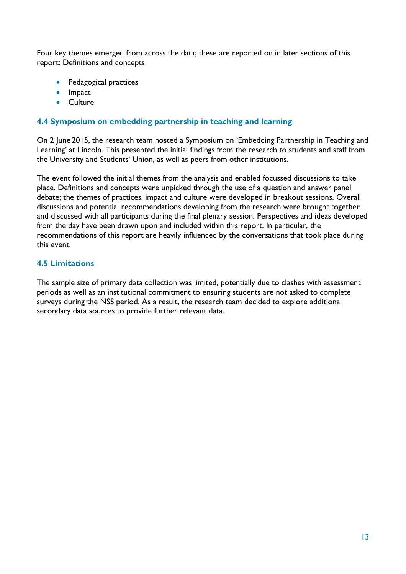Four key themes emerged from across the data; these are reported on in later sections of this report: Definitions and concepts

- Pedagogical practices
- Impact
- Culture

## <span id="page-12-0"></span>**4.4 Symposium on embedding partnership in teaching and learning**

On 2 June 2015, the research team hosted a Symposium on 'Embedding Partnership in Teaching and Learning' at Lincoln. This presented the initial findings from the research to students and staff from the University and Students' Union, as well as peers from other institutions.

The event followed the initial themes from the analysis and enabled focussed discussions to take place. Definitions and concepts were unpicked through the use of a question and answer panel debate; the themes of practices, impact and culture were developed in breakout sessions. Overall discussions and potential recommendations developing from the research were brought together and discussed with all participants during the final plenary session. Perspectives and ideas developed from the day have been drawn upon and included within this report. In particular, the recommendations of this report are heavily influenced by the conversations that took place during this event.

### <span id="page-12-1"></span>**4.5 Limitations**

The sample size of primary data collection was limited, potentially due to clashes with assessment periods as well as an institutional commitment to ensuring students are not asked to complete surveys during the NSS period. As a result, the research team decided to explore additional secondary data sources to provide further relevant data.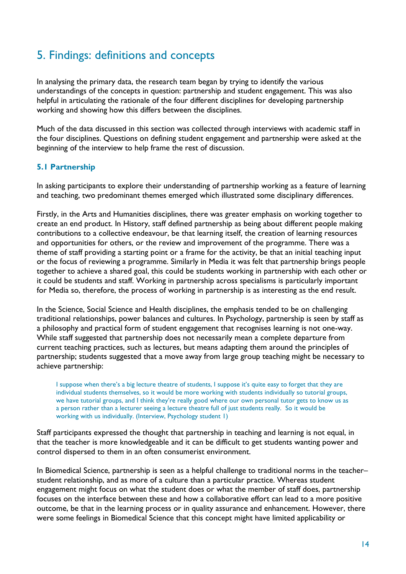## <span id="page-13-0"></span>5. Findings: definitions and concepts

In analysing the primary data, the research team began by trying to identify the various understandings of the concepts in question: partnership and student engagement. This was also helpful in articulating the rationale of the four different disciplines for developing partnership working and showing how this differs between the disciplines.

Much of the data discussed in this section was collected through interviews with academic staff in the four disciplines. Questions on defining student engagement and partnership were asked at the beginning of the interview to help frame the rest of discussion.

## <span id="page-13-1"></span>**5.1 Partnership**

In asking participants to explore their understanding of partnership working as a feature of learning and teaching, two predominant themes emerged which illustrated some disciplinary differences.

Firstly, in the Arts and Humanities disciplines, there was greater emphasis on working together to create an end product. In History, staff defined partnership as being about different people making contributions to a collective endeavour, be that learning itself, the creation of learning resources and opportunities for others, or the review and improvement of the programme. There was a theme of staff providing a starting point or a frame for the activity, be that an initial teaching input or the focus of reviewing a programme. Similarly in Media it was felt that partnership brings people together to achieve a shared goal, this could be students working in partnership with each other or it could be students and staff. Working in partnership across specialisms is particularly important for Media so, therefore, the process of working in partnership is as interesting as the end result.

In the Science, Social Science and Health disciplines, the emphasis tended to be on challenging traditional relationships, power balances and cultures. In Psychology, partnership is seen by staff as a philosophy and practical form of student engagement that recognises learning is not one-way. While staff suggested that partnership does not necessarily mean a complete departure from current teaching practices, such as lectures, but means adapting them around the principles of partnership; students suggested that a move away from large group teaching might be necessary to achieve partnership:

I suppose when there's a big lecture theatre of students, I suppose it's quite easy to forget that they are individual students themselves, so it would be more working with students individually so tutorial groups, we have tutorial groups, and I think they're really good where our own personal tutor gets to know us as a person rather than a lecturer seeing a lecture theatre full of just students really. So it would be working with us individually. (Interview, Psychology student 1)

Staff participants expressed the thought that partnership in teaching and learning is not equal, in that the teacher is more knowledgeable and it can be difficult to get students wanting power and control dispersed to them in an often consumerist environment.

In Biomedical Science, partnership is seen as a helpful challenge to traditional norms in the teacher– student relationship, and as more of a culture than a particular practice. Whereas student engagement might focus on what the student does or what the member of staff does, partnership focuses on the interface between these and how a collaborative effort can lead to a more positive outcome, be that in the learning process or in quality assurance and enhancement. However, there were some feelings in Biomedical Science that this concept might have limited applicability or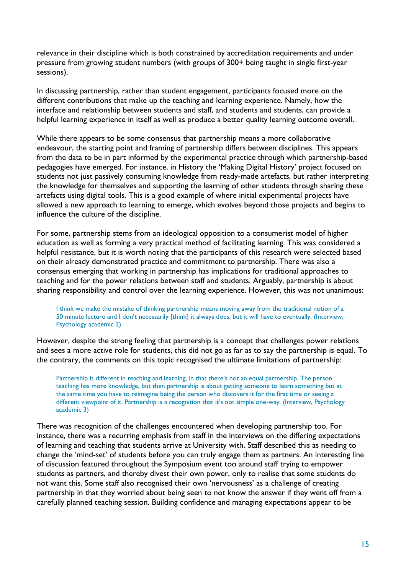relevance in their discipline which is both constrained by accreditation requirements and under pressure from growing student numbers (with groups of 300+ being taught in single first-year sessions).

In discussing partnership, rather than student engagement, participants focused more on the different contributions that make up the teaching and learning experience. Namely, how the interface and relationship between students and staff, and students and students, can provide a helpful learning experience in itself as well as produce a better quality learning outcome overall.

While there appears to be some consensus that partnership means a more collaborative endeavour, the starting point and framing of partnership differs between disciplines. This appears from the data to be in part informed by the experimental practice through which partnership-based pedagogies have emerged. For instance, in History the 'Making Digital History' project focused on students not just passively consuming knowledge from ready-made artefacts, but rather interpreting the knowledge for themselves and supporting the learning of other students through sharing these artefacts using digital tools. This is a good example of where initial experimental projects have allowed a new approach to learning to emerge, which evolves beyond those projects and begins to influence the culture of the discipline.

For some, partnership stems from an ideological opposition to a consumerist model of higher education as well as forming a very practical method of facilitating learning. This was considered a helpful resistance, but it is worth noting that the participants of this research were selected based on their already demonstrated practice and commitment to partnership. There was also a consensus emerging that working in partnership has implications for traditional approaches to teaching and for the power relations between staff and students. Arguably, partnership is about sharing responsibility and control over the learning experience. However, this was not unanimous:

I think we make the mistake of thinking partnership means moving away from the traditional notion of a 50 minute lecture and I don't necessarily [think] it always does, but it will have to eventually. (Interview, Psychology academic 2)

However, despite the strong feeling that partnership is a concept that challenges power relations and sees a more active role for students, this did not go as far as to say the partnership is equal. To the contrary, the comments on this topic recognised the ultimate limitations of partnership:

Partnership is different in teaching and learning, in that there's not an equal partnership. The person teaching has more knowledge, but then partnership is about getting someone to learn something but at the same time you have to reimagine being the person who discovers it for the first time or seeing a different viewpoint of it. Partnership is a recognition that it's not simple one-way. (Interview, Psychology academic 3)

There was recognition of the challenges encountered when developing partnership too. For instance, there was a recurring emphasis from staff in the interviews on the differing expectations of learning and teaching that students arrive at University with. Staff described this as needing to change the 'mind-set' of students before you can truly engage them as partners. An interesting line of discussion featured throughout the Symposium event too around staff trying to empower students as partners, and thereby divest their own power, only to realise that some students do not want this. Some staff also recognised their own 'nervousness' as a challenge of creating partnership in that they worried about being seen to not know the answer if they went off from a carefully planned teaching session. Building confidence and managing expectations appear to be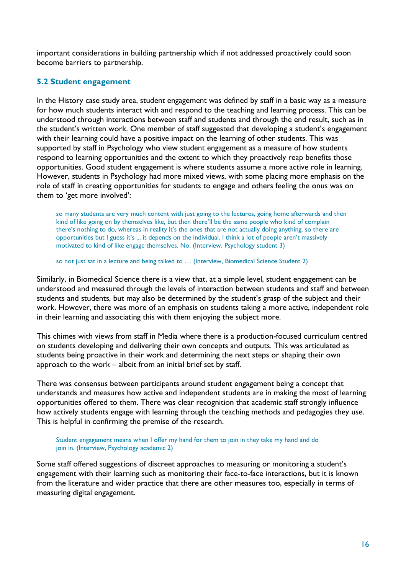important considerations in building partnership which if not addressed proactively could soon become barriers to partnership.

### <span id="page-15-0"></span>**5.2 Student engagement**

In the History case study area, student engagement was defined by staff in a basic way as a measure for how much students interact with and respond to the teaching and learning process. This can be understood through interactions between staff and students and through the end result, such as in the student's written work. One member of staff suggested that developing a student's engagement with their learning could have a positive impact on the learning of other students. This was supported by staff in Psychology who view student engagement as a measure of how students respond to learning opportunities and the extent to which they proactively reap benefits those opportunities. Good student engagement is where students assume a more active role in learning. However, students in Psychology had more mixed views, with some placing more emphasis on the role of staff in creating opportunities for students to engage and others feeling the onus was on them to 'get more involved':

so many students are very much content with just going to the lectures, going home afterwards and then kind of like going on by themselves like, but then there'll be the same people who kind of complain there's nothing to do, whereas in reality it's the ones that are not actually doing anything, so there are opportunities but I guess it's ... it depends on the individual. I think a lot of people aren't massively motivated to kind of like engage themselves. No. (Interview, Psychology student 3)

so not just sat in a lecture and being talked to … (Interview, Biomedical Science Student 2)

Similarly, in Biomedical Science there is a view that, at a simple level, student engagement can be understood and measured through the levels of interaction between students and staff and between students and students, but may also be determined by the student's grasp of the subject and their work. However, there was more of an emphasis on students taking a more active, independent role in their learning and associating this with them enjoying the subject more.

This chimes with views from staff in Media where there is a production-focused curriculum centred on students developing and delivering their own concepts and outputs. This was articulated as students being proactive in their work and determining the next steps or shaping their own approach to the work – albeit from an initial brief set by staff.

There was consensus between participants around student engagement being a concept that understands and measures how active and independent students are in making the most of learning opportunities offered to them. There was clear recognition that academic staff strongly influence how actively students engage with learning through the teaching methods and pedagogies they use. This is helpful in confirming the premise of the research.

Student engagement means when I offer my hand for them to join in they take my hand and do join in. (Interview, Psychology academic 2)

Some staff offered suggestions of discreet approaches to measuring or monitoring a student's engagement with their learning such as monitoring their face-to-face interactions, but it is known from the literature and wider practice that there are other measures too, especially in terms of measuring digital engagement.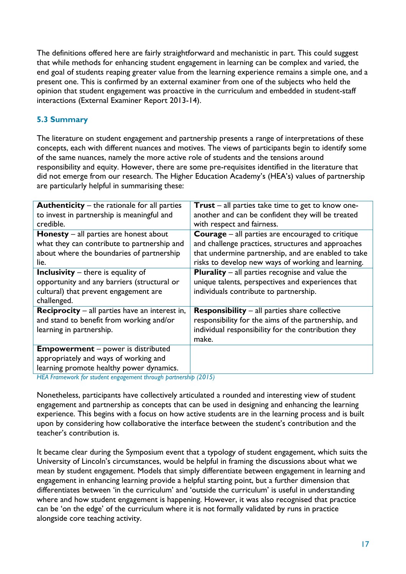The definitions offered here are fairly straightforward and mechanistic in part. This could suggest that while methods for enhancing student engagement in learning can be complex and varied, the end goal of students reaping greater value from the learning experience remains a simple one, and a present one. This is confirmed by an external examiner from one of the subjects who held the opinion that student engagement was proactive in the curriculum and embedded in student-staff interactions (External Examiner Report 2013-14).

## <span id="page-16-0"></span>**5.3 Summary**

The literature on student engagement and partnership presents a range of interpretations of these concepts, each with different nuances and motives. The views of participants begin to identify some of the same nuances, namely the more active role of students and the tensions around responsibility and equity. However, there are some pre-requisites identified in the literature that did not emerge from our research. The Higher Education Academy's (HEA's) values of partnership are particularly helpful in summarising these:

| <b>Trust</b> – all parties take time to get to know one- |
|----------------------------------------------------------|
| another and can be confident they will be treated        |
| with respect and fairness.                               |
| <b>Courage</b> – all parties are encouraged to critique  |
| and challenge practices, structures and approaches       |
| that undermine partnership, and are enabled to take      |
| risks to develop new ways of working and learning.       |
| <b>Plurality</b> $-$ all parties recognise and value the |
| unique talents, perspectives and experiences that        |
| individuals contribute to partnership.                   |
|                                                          |
| <b>Responsibility</b> – all parties share collective     |
| responsibility for the aims of the partnership, and      |
| individual responsibility for the contribution they      |
| make.                                                    |
|                                                          |
|                                                          |
|                                                          |
|                                                          |

*HEA Framework for student engagement through partnership (2015)*

Nonetheless, participants have collectively articulated a rounded and interesting view of student engagement and partnership as concepts that can be used in designing and enhancing the learning experience. This begins with a focus on how active students are in the learning process and is built upon by considering how collaborative the interface between the student's contribution and the teacher's contribution is.

It became clear during the Symposium event that a typology of student engagement, which suits the University of Lincoln's circumstances, would be helpful in framing the discussions about what we mean by student engagement. Models that simply differentiate between engagement in learning and engagement in enhancing learning provide a helpful starting point, but a further dimension that differentiates between 'in the curriculum' and 'outside the curriculum' is useful in understanding where and how student engagement is happening. However, it was also recognised that practice can be 'on the edge' of the curriculum where it is not formally validated by runs in practice alongside core teaching activity.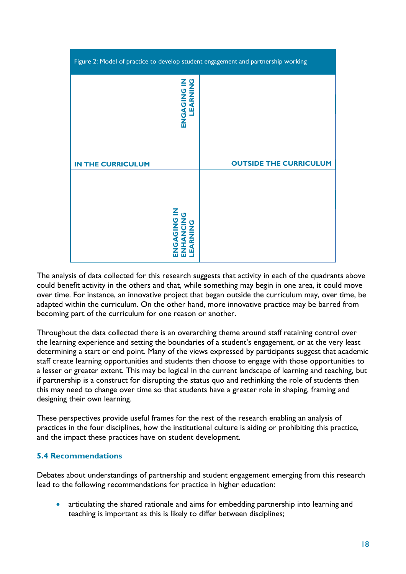| Figure 2: Model of practice to develop student engagement and partnership working |                               |  |
|-----------------------------------------------------------------------------------|-------------------------------|--|
| LEARNING<br><b>ZI UZIORSHI</b>                                                    |                               |  |
| <b>IN THE CURRICULUM</b>                                                          | <b>OUTSIDE THE CURRICULUM</b> |  |
| <u>Z</u><br>U<br><b>UZIONON</b><br><b>NUNNAI</b><br>EARNING                       |                               |  |

The analysis of data collected for this research suggests that activity in each of the quadrants above could benefit activity in the others and that, while something may begin in one area, it could move over time. For instance, an innovative project that began outside the curriculum may, over time, be adapted within the curriculum. On the other hand, more innovative practice may be barred from becoming part of the curriculum for one reason or another.

Throughout the data collected there is an overarching theme around staff retaining control over the learning experience and setting the boundaries of a student's engagement, or at the very least determining a start or end point. Many of the views expressed by participants suggest that academic staff create learning opportunities and students then choose to engage with those opportunities to a lesser or greater extent. This may be logical in the current landscape of learning and teaching, but if partnership is a construct for disrupting the status quo and rethinking the role of students then this may need to change over time so that students have a greater role in shaping, framing and designing their own learning.

These perspectives provide useful frames for the rest of the research enabling an analysis of practices in the four disciplines, how the institutional culture is aiding or prohibiting this practice, and the impact these practices have on student development.

### <span id="page-17-0"></span>**5.4 Recommendations**

Debates about understandings of partnership and student engagement emerging from this research lead to the following recommendations for practice in higher education:

 articulating the shared rationale and aims for embedding partnership into learning and teaching is important as this is likely to differ between disciplines;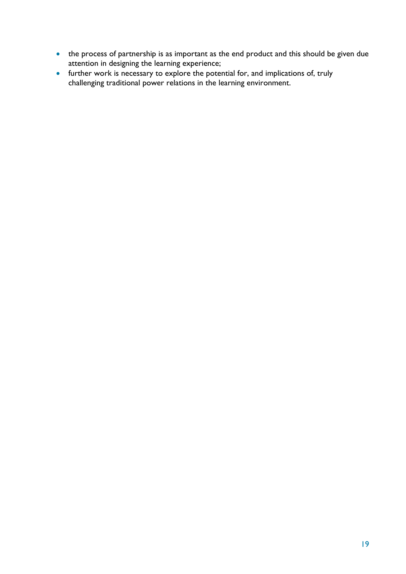- the process of partnership is as important as the end product and this should be given due attention in designing the learning experience;
- further work is necessary to explore the potential for, and implications of, truly challenging traditional power relations in the learning environment.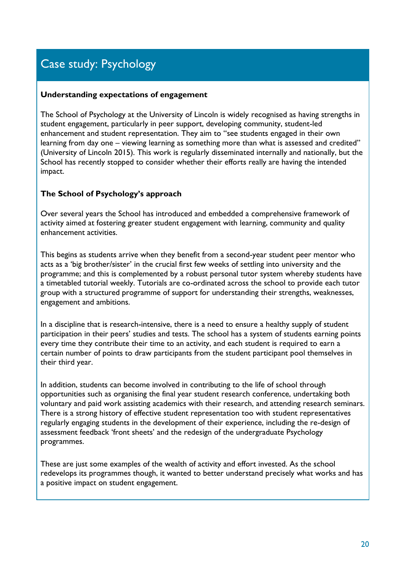# <span id="page-19-0"></span>Case study: Psychology

#### **Understanding expectations of engagement**

The School of Psychology at the University of Lincoln is widely recognised as having strengths in student engagement, particularly in peer support, developing community, student-led enhancement and student representation. They aim to "see students engaged in their own learning from day one – viewing learning as something more than what is assessed and credited" (University of Lincoln 2015). This work is regularly disseminated internally and nationally, but the School has recently stopped to consider whether their efforts really are having the intended impact.

### **The School of Psychology's approach**

Over several years the School has introduced and embedded a comprehensive framework of activity aimed at fostering greater student engagement with learning, community and quality enhancement activities.

This begins as students arrive when they benefit from a second-year student peer mentor who acts as a 'big brother/sister' in the crucial first few weeks of settling into university and the programme; and this is complemented by a robust personal tutor system whereby students have a timetabled tutorial weekly. Tutorials are co-ordinated across the school to provide each tutor group with a structured programme of support for understanding their strengths, weaknesses, engagement and ambitions.

In a discipline that is research-intensive, there is a need to ensure a healthy supply of student participation in their peers' studies and tests. The school has a system of students earning points every time they contribute their time to an activity, and each student is required to earn a certain number of points to draw participants from the student participant pool themselves in their third year.

In addition, students can become involved in contributing to the life of school through opportunities such as organising the final year student research conference, undertaking both voluntary and paid work assisting academics with their research, and attending research seminars. There is a strong history of effective student representation too with student representatives regularly engaging students in the development of their experience, including the re-design of assessment feedback 'front sheets' and the redesign of the undergraduate Psychology programmes.

These are just some examples of the wealth of activity and effort invested. As the school redevelops its programmes though, it wanted to better understand precisely what works and has a positive impact on student engagement.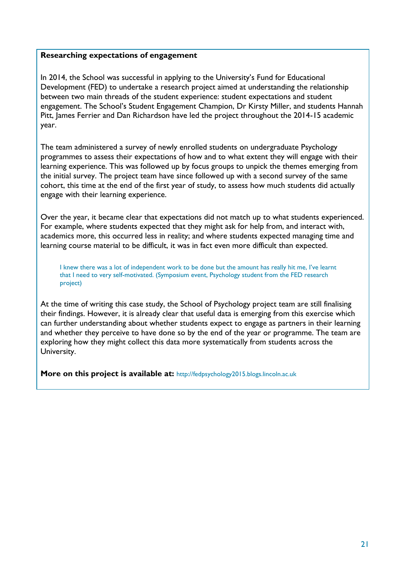#### **Researching expectations of engagement**

In 2014, the School was successful in applying to the University's Fund for Educational Development (FED) to undertake a research project aimed at understanding the relationship between two main threads of the student experience: student expectations and student engagement. The School's Student Engagement Champion, Dr Kirsty Miller, and students Hannah Pitt, James Ferrier and Dan Richardson have led the project throughout the 2014-15 academic year.

The team administered a survey of newly enrolled students on undergraduate Psychology programmes to assess their expectations of how and to what extent they will engage with their learning experience. This was followed up by focus groups to unpick the themes emerging from the initial survey. The project team have since followed up with a second survey of the same cohort, this time at the end of the first year of study, to assess how much students did actually engage with their learning experience.

Over the year, it became clear that expectations did not match up to what students experienced. For example, where students expected that they might ask for help from, and interact with, academics more, this occurred less in reality; and where students expected managing time and learning course material to be difficult, it was in fact even more difficult than expected.

I knew there was a lot of independent work to be done but the amount has really hit me, I've learnt that I need to very self-motivated. (Symposium event, Psychology student from the FED research project)

At the time of writing this case study, the School of Psychology project team are still finalising their findings. However, it is already clear that useful data is emerging from this exercise which can further understanding about whether students expect to engage as partners in their learning and whether they perceive to have done so by the end of the year or programme. The team are exploring how they might collect this data more systematically from students across the University.

**More on this project is available at:** [http://fedpsychology2015.blogs.lincoln.ac.uk](http://fedpsychology2015.blogs.lincoln.ac.uk/)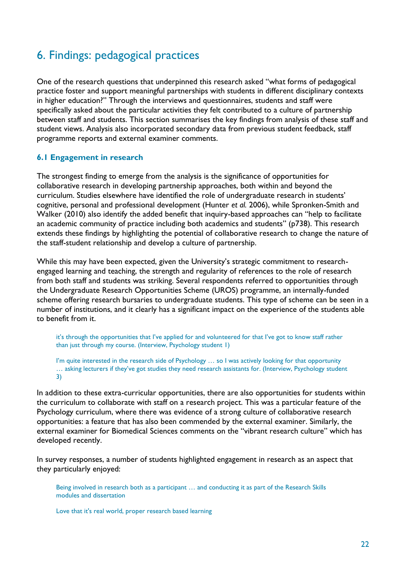## <span id="page-21-0"></span>6. Findings: pedagogical practices

One of the research questions that underpinned this research asked "what forms of pedagogical practice foster and support meaningful partnerships with students in different disciplinary contexts in higher education?" Through the interviews and questionnaires, students and staff were specifically asked about the particular activities they felt contributed to a culture of partnership between staff and students. This section summarises the key findings from analysis of these staff and student views. Analysis also incorporated secondary data from previous student feedback, staff programme reports and external examiner comments.

### <span id="page-21-1"></span>**6.1 Engagement in research**

The strongest finding to emerge from the analysis is the significance of opportunities for collaborative research in developing partnership approaches, both within and beyond the curriculum. Studies elsewhere have identified the role of undergraduate research in students' cognitive, personal and professional development (Hunter *et al.* 2006), while Spronken-Smith and Walker (2010) also identify the added benefit that inquiry-based approaches can "help to facilitate an academic community of practice including both academics and students" (p738). This research extends these findings by highlighting the potential of collaborative research to change the nature of the staff-student relationship and develop a culture of partnership.

While this may have been expected, given the University's strategic commitment to researchengaged learning and teaching, the strength and regularity of references to the role of research from both staff and students was striking. Several respondents referred to opportunities through the Undergraduate Research Opportunities Scheme (UROS) programme, an internally-funded scheme offering research bursaries to undergraduate students. This type of scheme can be seen in a number of institutions, and it clearly has a significant impact on the experience of the students able to benefit from it.

it's through the opportunities that I've applied for and volunteered for that I've got to know staff rather than just through my course. (Interview, Psychology student 1)

I'm quite interested in the research side of Psychology ... so I was actively looking for that opportunity … asking lecturers if they've got studies they need research assistants for. (Interview, Psychology student 3)

In addition to these extra-curricular opportunities, there are also opportunities for students within the curriculum to collaborate with staff on a research project. This was a particular feature of the Psychology curriculum, where there was evidence of a strong culture of collaborative research opportunities: a feature that has also been commended by the external examiner. Similarly, the external examiner for Biomedical Sciences comments on the "vibrant research culture" which has developed recently.

In survey responses, a number of students highlighted engagement in research as an aspect that they particularly enjoyed:

Being involved in research both as a participant … and conducting it as part of the Research Skills modules and dissertation

Love that it's real world, proper research based learning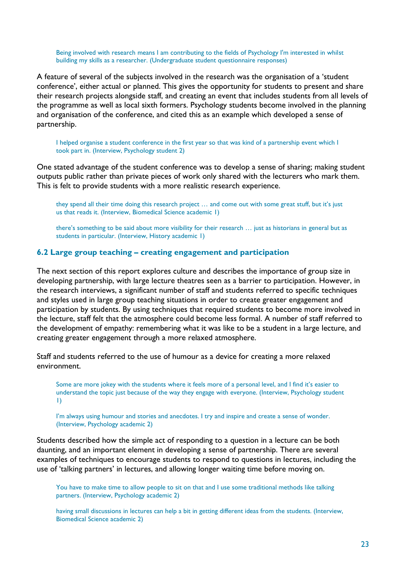Being involved with research means I am contributing to the fields of Psychology I'm interested in whilst building my skills as a researcher. (Undergraduate student questionnaire responses)

A feature of several of the subjects involved in the research was the organisation of a 'student conference', either actual or planned. This gives the opportunity for students to present and share their research projects alongside staff, and creating an event that includes students from all levels of the programme as well as local sixth formers. Psychology students become involved in the planning and organisation of the conference, and cited this as an example which developed a sense of partnership.

I helped organise a student conference in the first year so that was kind of a partnership event which I took part in. (Interview, Psychology student 2)

One stated advantage of the student conference was to develop a sense of sharing; making student outputs public rather than private pieces of work only shared with the lecturers who mark them. This is felt to provide students with a more realistic research experience.

they spend all their time doing this research project … and come out with some great stuff, but it's just us that reads it. (Interview, Biomedical Science academic 1)

there's something to be said about more visibility for their research … just as historians in general but as students in particular. (Interview, History academic 1)

#### <span id="page-22-0"></span>**6.2 Large group teaching – creating engagement and participation**

The next section of this report explores culture and describes the importance of group size in developing partnership, with large lecture theatres seen as a barrier to participation. However, in the research interviews, a significant number of staff and students referred to specific techniques and styles used in large group teaching situations in order to create greater engagement and participation by students. By using techniques that required students to become more involved in the lecture, staff felt that the atmosphere could become less formal. A number of staff referred to the development of empathy: remembering what it was like to be a student in a large lecture, and creating greater engagement through a more relaxed atmosphere.

Staff and students referred to the use of humour as a device for creating a more relaxed environment.

Some are more jokey with the students where it feels more of a personal level, and I find it's easier to understand the topic just because of the way they engage with everyone. (Interview, Psychology student 1)

I'm always using humour and stories and anecdotes. I try and inspire and create a sense of wonder. (Interview, Psychology academic 2)

Students described how the simple act of responding to a question in a lecture can be both daunting, and an important element in developing a sense of partnership. There are several examples of techniques to encourage students to respond to questions in lectures, including the use of 'talking partners' in lectures, and allowing longer waiting time before moving on.

You have to make time to allow people to sit on that and I use some traditional methods like talking partners. (Interview, Psychology academic 2)

having small discussions in lectures can help a bit in getting different ideas from the students. (Interview, Biomedical Science academic 2)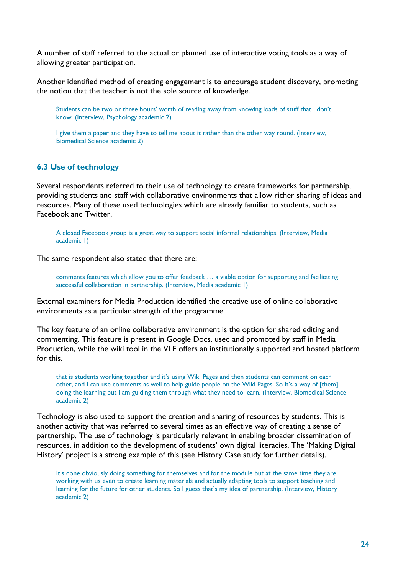A number of staff referred to the actual or planned use of interactive voting tools as a way of allowing greater participation.

Another identified method of creating engagement is to encourage student discovery, promoting the notion that the teacher is not the sole source of knowledge.

Students can be two or three hours' worth of reading away from knowing loads of stuff that I don't know. (Interview, Psychology academic 2)

I give them a paper and they have to tell me about it rather than the other way round. (Interview, Biomedical Science academic 2)

#### <span id="page-23-0"></span>**6.3 Use of technology**

Several respondents referred to their use of technology to create frameworks for partnership, providing students and staff with collaborative environments that allow richer sharing of ideas and resources. Many of these used technologies which are already familiar to students, such as Facebook and Twitter.

A closed Facebook group is a great way to support social informal relationships. (Interview, Media academic 1)

The same respondent also stated that there are:

comments features which allow you to offer feedback … a viable option for supporting and facilitating successful collaboration in partnership. (Interview, Media academic 1)

External examiners for Media Production identified the creative use of online collaborative environments as a particular strength of the programme.

The key feature of an online collaborative environment is the option for shared editing and commenting. This feature is present in Google Docs, used and promoted by staff in Media Production, while the wiki tool in the VLE offers an institutionally supported and hosted platform for this.

that is students working together and it's using Wiki Pages and then students can comment on each other, and I can use comments as well to help guide people on the Wiki Pages. So it's a way of [them] doing the learning but I am guiding them through what they need to learn. (Interview, Biomedical Science academic 2)

Technology is also used to support the creation and sharing of resources by students. This is another activity that was referred to several times as an effective way of creating a sense of partnership. The use of technology is particularly relevant in enabling broader dissemination of resources, in addition to the development of students' own digital literacies. The 'Making Digital History' project is a strong example of this (see History Case study for further details).

It's done obviously doing something for themselves and for the module but at the same time they are working with us even to create learning materials and actually adapting tools to support teaching and learning for the future for other students. So I guess that's my idea of partnership. (Interview, History academic 2)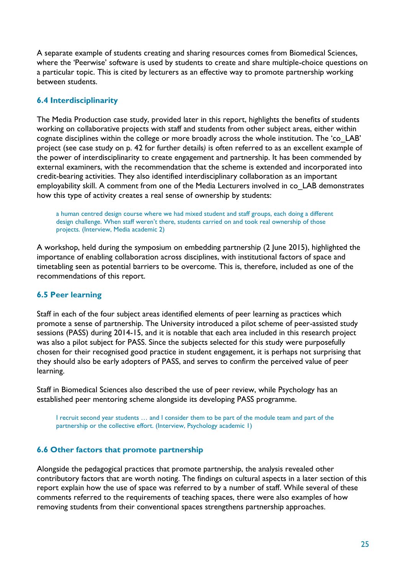A separate example of students creating and sharing resources comes from Biomedical Sciences, where the 'Peerwise' software is used by students to create and share multiple-choice questions on a particular topic. This is cited by lecturers as an effective way to promote partnership working between students.

## <span id="page-24-0"></span>**6.4 Interdisciplinarity**

The Media Production case study, provided later in this report, highlights the benefits of students working on collaborative projects with staff and students from other subject areas, either within cognate disciplines within the college or more broadly across the whole institution. The 'co\_LAB' project (see case study on p. 42 for further details*)* is often referred to as an excellent example of the power of interdisciplinarity to create engagement and partnership. It has been commended by external examiners, with the recommendation that the scheme is extended and incorporated into credit-bearing activities. They also identified interdisciplinary collaboration as an important employability skill. A comment from one of the Media Lecturers involved in co\_LAB demonstrates how this type of activity creates a real sense of ownership by students:

a human centred design course where we had mixed student and staff groups, each doing a different design challenge. When staff weren't there, students carried on and took real ownership of those projects. (Interview, Media academic 2)

A workshop, held during the symposium on embedding partnership (2 June 2015), highlighted the importance of enabling collaboration across disciplines, with institutional factors of space and timetabling seen as potential barriers to be overcome. This is, therefore, included as one of the recommendations of this report.

## <span id="page-24-1"></span>**6.5 Peer learning**

Staff in each of the four subject areas identified elements of peer learning as practices which promote a sense of partnership. The University introduced a pilot scheme of peer-assisted study sessions (PASS) during 2014-15, and it is notable that each area included in this research project was also a pilot subject for PASS. Since the subjects selected for this study were purposefully chosen for their recognised good practice in student engagement, it is perhaps not surprising that they should also be early adopters of PASS, and serves to confirm the perceived value of peer learning.

Staff in Biomedical Sciences also described the use of peer review, while Psychology has an established peer mentoring scheme alongside its developing PASS programme.

I recruit second year students … and I consider them to be part of the module team and part of the partnership or the collective effort. (Interview, Psychology academic 1)

### <span id="page-24-2"></span>**6.6 Other factors that promote partnership**

Alongside the pedagogical practices that promote partnership, the analysis revealed other contributory factors that are worth noting. The findings on cultural aspects in a later section of this report explain how the use of space was referred to by a number of staff. While several of these comments referred to the requirements of teaching spaces, there were also examples of how removing students from their conventional spaces strengthens partnership approaches.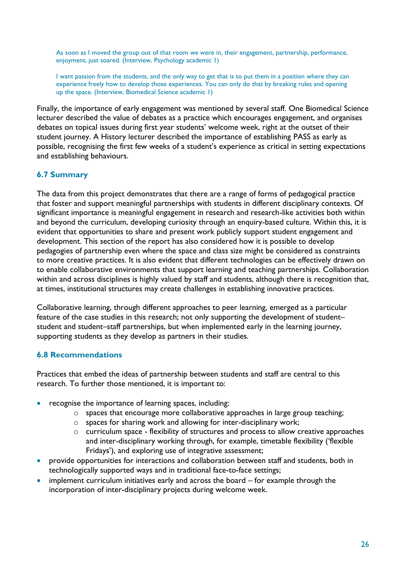As soon as I moved the group out of that room we were in, their engagement, partnership, performance, enjoyment, just soared. (Interview, Psychology academic 1)

I want passion from the students, and the only way to get that is to put them in a position where they can experience freely how to develop those experiences. You can only do that by breaking rules and opening up the space. (Interview, Biomedical Science academic 1)

Finally, the importance of early engagement was mentioned by several staff. One Biomedical Science lecturer described the value of debates as a practice which encourages engagement, and organises debates on topical issues during first year students' welcome week, right at the outset of their student journey. A History lecturer described the importance of establishing PASS as early as possible, recognising the first few weeks of a student's experience as critical in setting expectations and establishing behaviours.

## <span id="page-25-0"></span>**6.7 Summary**

The data from this project demonstrates that there are a range of forms of pedagogical practice that foster and support meaningful partnerships with students in different disciplinary contexts. Of significant importance is meaningful engagement in research and research-like activities both within and beyond the curriculum, developing curiosity through an enquiry-based culture. Within this, it is evident that opportunities to share and present work publicly support student engagement and development. This section of the report has also considered how it is possible to develop pedagogies of partnership even where the space and class size might be considered as constraints to more creative practices. It is also evident that different technologies can be effectively drawn on to enable collaborative environments that support learning and teaching partnerships. Collaboration within and across disciplines is highly valued by staff and students, although there is recognition that, at times, institutional structures may create challenges in establishing innovative practices.

Collaborative learning, through different approaches to peer learning, emerged as a particular feature of the case studies in this research; not only supporting the development of student– student and student–staff partnerships, but when implemented early in the learning journey, supporting students as they develop as partners in their studies.

### <span id="page-25-1"></span>**6.8 Recommendations**

Practices that embed the ideas of partnership between students and staff are central to this research. To further those mentioned, it is important to:

- recognise the importance of learning spaces, including:
	- o spaces that encourage more collaborative approaches in large group teaching;
	- o spaces for sharing work and allowing for inter-disciplinary work;
	- o curriculum space flexibility of structures and process to allow creative approaches and inter-disciplinary working through, for example, timetable flexibility ('flexible Fridays'), and exploring use of integrative assessment;
- provide opportunities for interactions and collaboration between staff and students, both in technologically supported ways and in traditional face-to-face settings;
- implement curriculum initiatives early and across the board for example through the incorporation of inter-disciplinary projects during welcome week.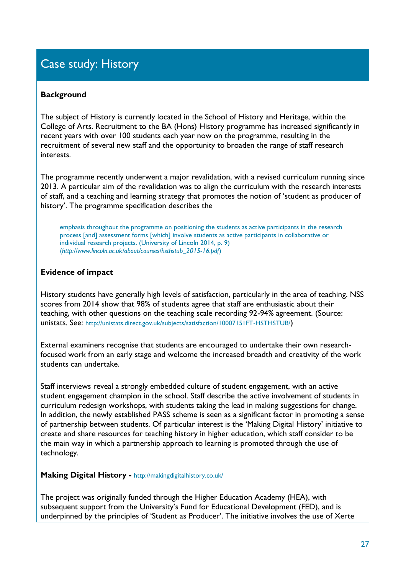# <span id="page-26-0"></span>Case study: History

### **Background**

The subject of History is currently located in the School of History and Heritage, within the College of Arts. Recruitment to the BA (Hons) History programme has increased significantly in recent years with over 100 students each year now on the programme, resulting in the recruitment of several new staff and the opportunity to broaden the range of staff research interests.

The programme recently underwent a major revalidation, with a revised curriculum running since 2013. A particular aim of the revalidation was to align the curriculum with the research interests of staff, and a teaching and learning strategy that promotes the notion of 'student as producer of history'. The programme specification describes the

emphasis throughout the programme on positioning the students as active participants in the research process [and] assessment forms [which] involve students as active participants in collaborative or individual research projects. (University of Lincoln 2014, p. 9) (*[http://www.lincoln.ac.uk/about/courses/hsthstub\\_2015-16.pdf](http://www.lincoln.ac.uk/about/courses/hsthstub_2015-16.pdf)*)

## **Evidence of impact**

History students have generally high levels of satisfaction, particularly in the area of teaching. NSS scores from 2014 show that 98% of students agree that staff are enthusiastic about their teaching, with other questions on the teaching scale recording 92-94% agreement. (Source: unistats. See: <http://unistats.direct.gov.uk/subjects/satisfaction/10007151FT-HSTHSTUB/>)

External examiners recognise that students are encouraged to undertake their own researchfocused work from an early stage and welcome the increased breadth and creativity of the work students can undertake.

Staff interviews reveal a strongly embedded culture of student engagement, with an active student engagement champion in the school. Staff describe the active involvement of students in curriculum redesign workshops, with students taking the lead in making suggestions for change. In addition, the newly established PASS scheme is seen as a significant factor in promoting a sense of partnership between students. Of particular interest is the 'Making Digital History' initiative to create and share resources for teaching history in higher education, which staff consider to be the main way in which a partnership approach to learning is promoted through the use of technology.

## **Making Digital History -** <http://makingdigitalhistory.co.uk/>

The project was originally funded through the Higher Education Academy (HEA), with subsequent support from the University's Fund for Educational Development (FED), and is underpinned by the principles of 'Student as Producer'. The initiative involves the use of Xerte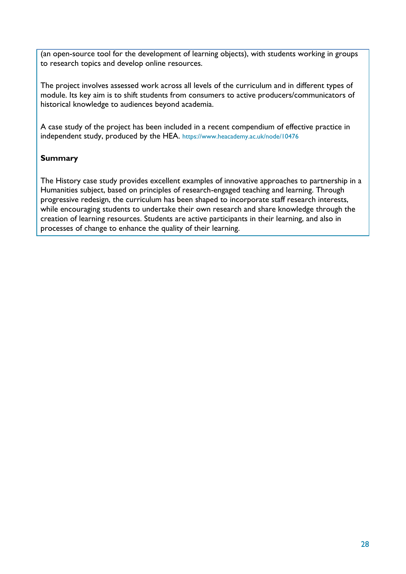(an open-source tool for the development of learning objects), with students working in groups to research topics and develop online resources.

The project involves assessed work across all levels of the curriculum and in different types of module. Its key aim is to shift students from consumers to active producers/communicators of historical knowledge to audiences beyond academia.

A case study of the project has been included in a recent compendium of effective practice in independent study, produced by the HEA. <https://www.heacademy.ac.uk/node/10476>

## **Summary**

The History case study provides excellent examples of innovative approaches to partnership in a Humanities subject, based on principles of research-engaged teaching and learning. Through progressive redesign, the curriculum has been shaped to incorporate staff research interests, while encouraging students to undertake their own research and share knowledge through the creation of learning resources. Students are active participants in their learning, and also in processes of change to enhance the quality of their learning.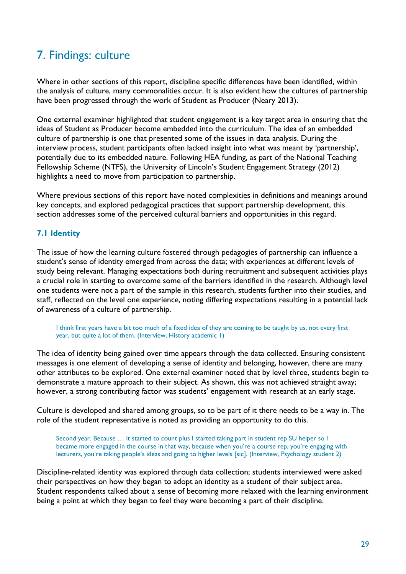## <span id="page-28-0"></span>7. Findings: culture

Where in other sections of this report, discipline specific differences have been identified, within the analysis of culture, many commonalities occur. It is also evident how the cultures of partnership have been progressed through the work of Student as Producer (Neary 2013).

One external examiner highlighted that student engagement is a key target area in ensuring that the ideas of Student as Producer become embedded into the curriculum. The idea of an embedded culture of partnership is one that presented some of the issues in data analysis. During the interview process, student participants often lacked insight into what was meant by 'partnership', potentially due to its embedded nature. Following HEA funding, as part of the National Teaching Fellowship Scheme (NTFS), the University of Lincoln's Student Engagement Strategy (2012) highlights a need to move from participation to partnership.

Where previous sections of this report have noted complexities in definitions and meanings around key concepts, and explored pedagogical practices that support partnership development, this section addresses some of the perceived cultural barriers and opportunities in this regard.

## <span id="page-28-1"></span>**7.1 Identity**

The issue of how the learning culture fostered through pedagogies of partnership can influence a student's sense of identity emerged from across the data; with experiences at different levels of study being relevant. Managing expectations both during recruitment and subsequent activities plays a crucial role in starting to overcome some of the barriers identified in the research. Although level one students were not a part of the sample in this research, students further into their studies, and staff, reflected on the level one experience, noting differing expectations resulting in a potential lack of awareness of a culture of partnership.

I think first years have a bit too much of a fixed idea of they are coming to be taught by us, not every first year, but quite a lot of them. (Interview, History academic 1)

The idea of identity being gained over time appears through the data collected. Ensuring consistent messages is one element of developing a sense of identity and belonging, however, there are many other attributes to be explored. One external examiner noted that by level three, students begin to demonstrate a mature approach to their subject. As shown, this was not achieved straight away; however, a strong contributing factor was students' engagement with research at an early stage.

Culture is developed and shared among groups, so to be part of it there needs to be a way in. The role of the student representative is noted as providing an opportunity to do this.

Second year. Because … it started to count plus I started taking part in student rep SU helper so I became more engaged in the course in that way, because when you're a course rep, you're engaging with lecturers, you're taking people's ideas and going to higher levels [sic]. (Interview, Psychology student 2)

Discipline-related identity was explored through data collection; students interviewed were asked their perspectives on how they began to adopt an identity as a student of their subject area. Student respondents talked about a sense of becoming more relaxed with the learning environment being a point at which they began to feel they were becoming a part of their discipline.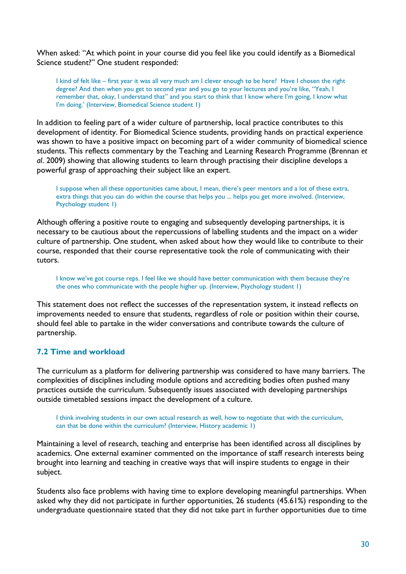When asked: "At which point in your course did you feel like you could identify as a Biomedical Science student?" One student responded:

I kind of felt like – first year it was all very much am I clever enough to be here? Have I chosen the right degree? And then when you get to second year and you go to your lectures and you're like, "Yeah, I remember that, okay, I understand that" and you start to think that I know where I'm going, I know what I'm doing.' (Interview, Biomedical Science student 1)

In addition to feeling part of a wider culture of partnership, local practice contributes to this development of identity. For Biomedical Science students, providing hands on practical experience was shown to have a positive impact on becoming part of a wider community of biomedical science students. This reflects commentary by the Teaching and Learning Research Programme (Brennan *et al*. 2009) showing that allowing students to learn through practising their discipline develops a powerful grasp of approaching their subject like an expert.

I suppose when all these opportunities came about, I mean, there's peer mentors and a lot of these extra, extra things that you can do within the course that helps you ... helps you get more involved. (Interview, Psychology student 1)

Although offering a positive route to engaging and subsequently developing partnerships, it is necessary to be cautious about the repercussions of labelling students and the impact on a wider culture of partnership. One student, when asked about how they would like to contribute to their course, responded that their course representative took the role of communicating with their tutors.

I know we've got course reps. I feel like we should have better communication with them because they're the ones who communicate with the people higher up. (Interview, Psychology student 1)

This statement does not reflect the successes of the representation system, it instead reflects on improvements needed to ensure that students, regardless of role or position within their course, should feel able to partake in the wider conversations and contribute towards the culture of partnership.

### <span id="page-29-0"></span>**7.2 Time and workload**

The curriculum as a platform for delivering partnership was considered to have many barriers. The complexities of disciplines including module options and accrediting bodies often pushed many practices outside the curriculum. Subsequently issues associated with developing partnerships outside timetabled sessions impact the development of a culture.

I think involving students in our own actual research as well, how to negotiate that with the curriculum, can that be done within the curriculum? (Interview, History academic 1)

Maintaining a level of research, teaching and enterprise has been identified across all disciplines by academics. One external examiner commented on the importance of staff research interests being brought into learning and teaching in creative ways that will inspire students to engage in their subject.

Students also face problems with having time to explore developing meaningful partnerships. When asked why they did not participate in further opportunities, 26 students (45.61%) responding to the undergraduate questionnaire stated that they did not take part in further opportunities due to time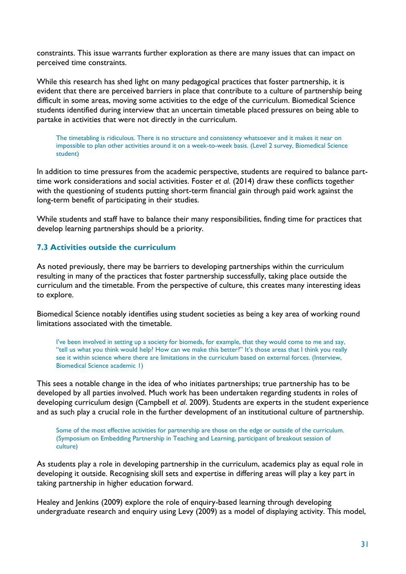constraints. This issue warrants further exploration as there are many issues that can impact on perceived time constraints.

While this research has shed light on many pedagogical practices that foster partnership, it is evident that there are perceived barriers in place that contribute to a culture of partnership being difficult in some areas, moving some activities to the edge of the curriculum. Biomedical Science students identified during interview that an uncertain timetable placed pressures on being able to partake in activities that were not directly in the curriculum.

The timetabling is ridiculous. There is no structure and consistency whatsoever and it makes it near on impossible to plan other activities around it on a week-to-week basis. (Level 2 survey, Biomedical Science student)

In addition to time pressures from the academic perspective, students are required to balance parttime work considerations and social activities. Foster *et al*. (2014) draw these conflicts together with the questioning of students putting short-term financial gain through paid work against the long-term benefit of participating in their studies.

While students and staff have to balance their many responsibilities, finding time for practices that develop learning partnerships should be a priority.

#### <span id="page-30-0"></span>**7.3 Activities outside the curriculum**

As noted previously, there may be barriers to developing partnerships within the curriculum resulting in many of the practices that foster partnership successfully, taking place outside the curriculum and the timetable. From the perspective of culture, this creates many interesting ideas to explore.

Biomedical Science notably identifies using student societies as being a key area of working round limitations associated with the timetable.

I've been involved in setting up a society for biomeds, for example, that they would come to me and say, "tell us what you think would help? How can we make this better?" It's those areas that I think you really see it within science where there are limitations in the curriculum based on external forces. (Interview, Biomedical Science academic 1)

This sees a notable change in the idea of who initiates partnerships; true partnership has to be developed by all parties involved. Much work has been undertaken regarding students in roles of developing curriculum design (Campbell *et al*. 2009). Students are experts in the student experience and as such play a crucial role in the further development of an institutional culture of partnership.

Some of the most effective activities for partnership are those on the edge or outside of the curriculum. (Symposium on Embedding Partnership in Teaching and Learning, participant of breakout session of culture)

As students play a role in developing partnership in the curriculum, academics play as equal role in developing it outside. Recognising skill sets and expertise in differing areas will play a key part in taking partnership in higher education forward.

Healey and Jenkins (2009) explore the role of enquiry-based learning through developing undergraduate research and enquiry using Levy (2009) as a model of displaying activity. This model,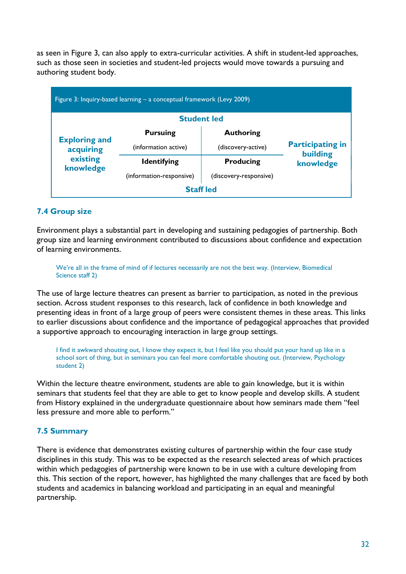as seen in Figure 3, can also apply to extra-curricular activities. A shift in student-led approaches, such as those seen in societies and student-led projects would move towards a pursuing and authoring student body.

|                                                            | Figure 3: Inquiry-based learning – a conceptual framework (Levy 2009) |                        |                                     |
|------------------------------------------------------------|-----------------------------------------------------------------------|------------------------|-------------------------------------|
|                                                            | <b>Student led</b>                                                    |                        |                                     |
|                                                            | <b>Pursuing</b>                                                       | <b>Authoring</b>       |                                     |
| <b>Exploring and</b><br>acquiring<br>existing<br>knowledge | (information active)                                                  | (discovery-active)     | <b>Participating in</b><br>building |
|                                                            | <b>Identifying</b>                                                    | <b>Producing</b>       | knowledge                           |
|                                                            | (information-responsive)                                              | (discovery-responsive) |                                     |
|                                                            | <b>Staff led</b>                                                      |                        |                                     |

## <span id="page-31-0"></span>**7.4 Group size**

Environment plays a substantial part in developing and sustaining pedagogies of partnership. Both group size and learning environment contributed to discussions about confidence and expectation of learning environments.

We're all in the frame of mind of if lectures necessarily are not the best way. (Interview, Biomedical Science staff 2)

The use of large lecture theatres can present as barrier to participation, as noted in the previous section. Across student responses to this research, lack of confidence in both knowledge and presenting ideas in front of a large group of peers were consistent themes in these areas. This links to earlier discussions about confidence and the importance of pedagogical approaches that provided a supportive approach to encouraging interaction in large group settings.

I find it awkward shouting out, I know they expect it, but I feel like you should put your hand up like in a school sort of thing, but in seminars you can feel more comfortable shouting out. (Interview, Psychology student 2)

Within the lecture theatre environment, students are able to gain knowledge, but it is within seminars that students feel that they are able to get to know people and develop skills. A student from History explained in the undergraduate questionnaire about how seminars made them "feel less pressure and more able to perform."

## <span id="page-31-1"></span>**7.5 Summary**

There is evidence that demonstrates existing cultures of partnership within the four case study disciplines in this study. This was to be expected as the research selected areas of which practices within which pedagogies of partnership were known to be in use with a culture developing from this. This section of the report, however, has highlighted the many challenges that are faced by both students and academics in balancing workload and participating in an equal and meaningful partnership.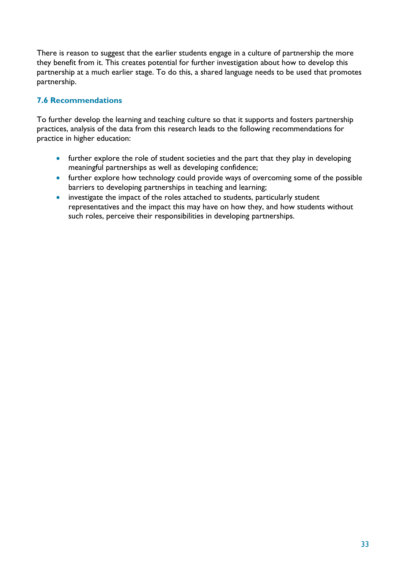There is reason to suggest that the earlier students engage in a culture of partnership the more they benefit from it. This creates potential for further investigation about how to develop this partnership at a much earlier stage. To do this, a shared language needs to be used that promotes partnership.

## <span id="page-32-0"></span>**7.6 Recommendations**

To further develop the learning and teaching culture so that it supports and fosters partnership practices, analysis of the data from this research leads to the following recommendations for practice in higher education:

- further explore the role of student societies and the part that they play in developing meaningful partnerships as well as developing confidence;
- further explore how technology could provide ways of overcoming some of the possible barriers to developing partnerships in teaching and learning;
- investigate the impact of the roles attached to students, particularly student representatives and the impact this may have on how they, and how students without such roles, perceive their responsibilities in developing partnerships.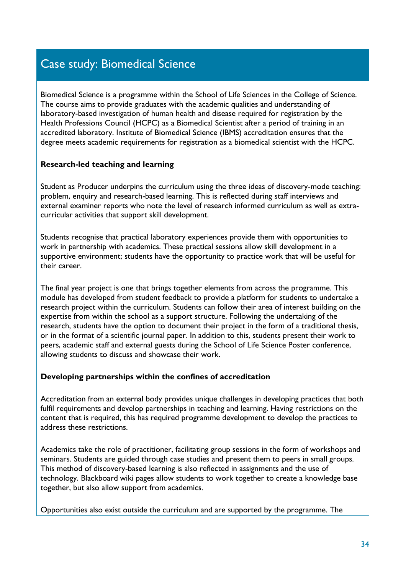# <span id="page-33-0"></span>Case study: Biomedical Science

Biomedical Science is a programme within the School of Life Sciences in the College of Science. The course aims to provide graduates with the academic qualities and understanding of laboratory-based investigation of human health and disease required for registration by the Health Professions Council (HCPC) as a Biomedical Scientist after a period of training in an accredited laboratory. Institute of Biomedical Science (IBMS) accreditation ensures that the degree meets academic requirements for registration as a biomedical scientist with the HCPC.

## **Research-led teaching and learning**

Student as Producer underpins the curriculum using the three ideas of discovery-mode teaching: problem, enquiry and research-based learning. This is reflected during staff interviews and external examiner reports who note the level of research informed curriculum as well as extracurricular activities that support skill development.

Students recognise that practical laboratory experiences provide them with opportunities to work in partnership with academics. These practical sessions allow skill development in a supportive environment; students have the opportunity to practice work that will be useful for their career.

The final year project is one that brings together elements from across the programme. This module has developed from student feedback to provide a platform for students to undertake a research project within the curriculum. Students can follow their area of interest building on the expertise from within the school as a support structure. Following the undertaking of the research, students have the option to document their project in the form of a traditional thesis, or in the format of a scientific journal paper. In addition to this, students present their work to peers, academic staff and external guests during the School of Life Science Poster conference, allowing students to discuss and showcase their work.

### **Developing partnerships within the confines of accreditation**

Accreditation from an external body provides unique challenges in developing practices that both fulfil requirements and develop partnerships in teaching and learning. Having restrictions on the content that is required, this has required programme development to develop the practices to address these restrictions.

Academics take the role of practitioner, facilitating group sessions in the form of workshops and seminars. Students are guided through case studies and present them to peers in small groups. This method of discovery-based learning is also reflected in assignments and the use of technology. Blackboard wiki pages allow students to work together to create a knowledge base together, but also allow support from academics.

Opportunities also exist outside the curriculum and are supported by the programme. The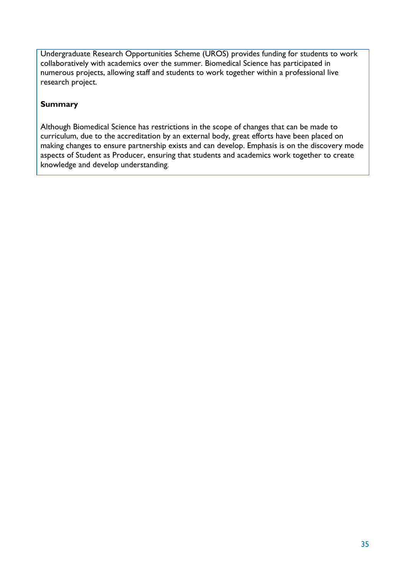Undergraduate Research Opportunities Scheme (UROS) provides funding for students to work collaboratively with academics over the summer. Biomedical Science has participated in numerous projects, allowing staff and students to work together within a professional live research project.

## **Summary**

Although Biomedical Science has restrictions in the scope of changes that can be made to curriculum, due to the accreditation by an external body, great efforts have been placed on making changes to ensure partnership exists and can develop. Emphasis is on the discovery mode aspects of Student as Producer, ensuring that students and academics work together to create knowledge and develop understanding.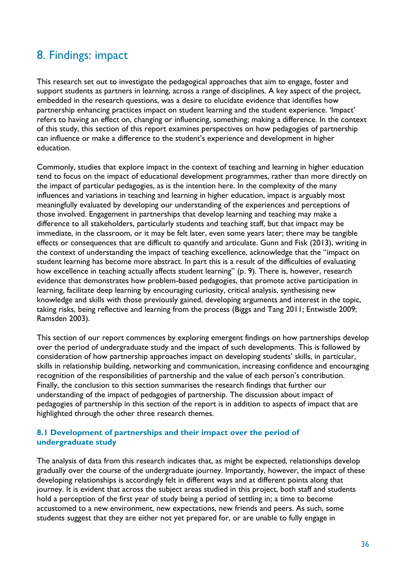## <span id="page-35-0"></span>8. Findings: impact

This research set out to investigate the pedagogical approaches that aim to engage, foster and support students as partners in learning, across a range of disciplines. A key aspect of the project, embedded in the research questions, was a desire to elucidate evidence that identifies how partnership enhancing practices impact on student learning and the student experience. 'Impact' refers to having an effect on, changing or influencing, something; making a difference. In the context of this study, this section of this report examines perspectives on how pedagogies of partnership can influence or make a difference to the student's experience and development in higher education.

Commonly, studies that explore impact in the context of teaching and learning in higher education tend to focus on the impact of educational development programmes, rather than more directly on the impact of particular pedagogies, as is the intention here. In the complexity of the many influences and variations in teaching and learning in higher education, impact is arguably most meaningfully evaluated by developing our understanding of the experiences and perceptions of those involved. Engagement in partnerships that develop learning and teaching may make a difference to all stakeholders, particularly students and teaching staff, but that impact may be immediate, in the classroom, or it may be felt later, even some years later; there may be tangible effects or consequences that are difficult to quantify and articulate. Gunn and Fisk (2013), writing in the context of understanding the impact of teaching excellence, acknowledge that the "impact on student learning has become more abstract. In part this is a result of the difficulties of evaluating how excellence in teaching actually affects student learning" (p. 9). There is, however, research evidence that demonstrates how problem-based pedagogies, that promote active participation in learning, facilitate deep learning by encouraging curiosity, critical analysis, synthesising new knowledge and skills with those previously gained, developing arguments and interest in the topic, taking risks, being reflective and learning from the process (Biggs and Tang 2011; Entwistle 2009; Ramsden 2003).

This section of our report commences by exploring emergent findings on how partnerships develop over the period of undergraduate study and the impact of such developments. This is followed by consideration of how partnership approaches impact on developing students' skills, in particular, skills in relationship building, networking and communication, increasing confidence and encouraging recognition of the responsibilities of partnership and the value of each person's contribution. Finally, the conclusion to this section summarises the research findings that further our understanding of the impact of pedagogies of partnership. The discussion about impact of pedagogies of partnership in this section of the report is in addition to aspects of impact that are highlighted through the other three research themes.

### <span id="page-35-2"></span><span id="page-35-1"></span>**8.1 Development of partnerships and their impact over the period of undergraduate study**

The analysis of data from this research indicates that, as might be expected, relationships develop gradually over the course of the undergraduate journey. Importantly, however, the impact of these developing relationships is accordingly felt in different ways and at different points along that journey. It is evident that across the subject areas studied in this project, both staff and students hold a perception of the first year of study being a period of settling in; a time to become accustomed to a new environment, new expectations, new friends and peers. As such, some students suggest that they are either not yet prepared for, or are unable to fully engage in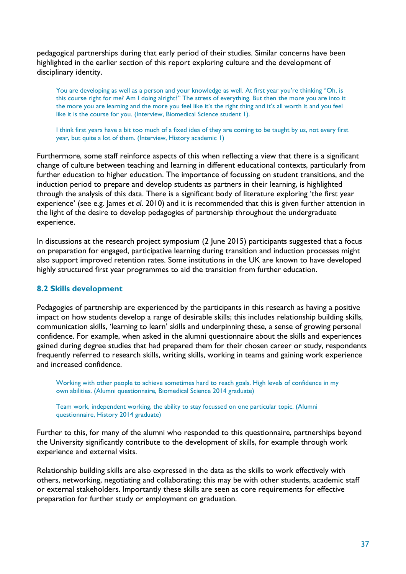pedagogical partnerships during that early period of their studies. Similar concerns have been highlighted in the earlier section of this report exploring culture and the development of disciplinary identity.

You are developing as well as a person and your knowledge as well. At first year you're thinking "Oh, is this course right for me? Am I doing alright?" The stress of everything. But then the more you are into it the more you are learning and the more you feel like it's the right thing and it's all worth it and you feel like it is the course for you. (Interview, Biomedical Science student 1).

I think first years have a bit too much of a fixed idea of they are coming to be taught by us, not every first year, but quite a lot of them. (Interview, History academic 1)

Furthermore, some staff reinforce aspects of this when reflecting a view that there is a significant change of culture between teaching and learning in different educational contexts, particularly from further education to higher education. The importance of focussing on student transitions, and the induction period to prepare and develop students as partners in their learning, is highlighted through the analysis of this data. There is a significant body of literature exploring 'the first year experience' (see e.g. James *et al*. 2010) and it is recommended that this is given further attention in the light of the desire to develop pedagogies of partnership throughout the undergraduate experience.

In discussions at the research project symposium (2 June 2015) participants suggested that a focus on preparation for engaged, participative learning during transition and induction processes might also support improved retention rates. Some institutions in the UK are known to have developed highly structured first year programmes to aid the transition from further education.

### <span id="page-36-0"></span>**8.2 Skills development**

Pedagogies of partnership are experienced by the participants in this research as having a positive impact on how students develop a range of desirable skills; this includes relationship building skills, communication skills, 'learning to learn' skills and underpinning these, a sense of growing personal confidence. For example, when asked in the alumni questionnaire about the skills and experiences gained during degree studies that had prepared them for their chosen career or study, respondents frequently referred to research skills, writing skills, working in teams and gaining work experience and increased confidence.

Working with other people to achieve sometimes hard to reach goals. High levels of confidence in my own abilities. (Alumni questionnaire, Biomedical Science 2014 graduate)

Team work, independent working, the ability to stay focussed on one particular topic. (Alumni questionnaire, History 2014 graduate)

Further to this, for many of the alumni who responded to this questionnaire, partnerships beyond the University significantly contribute to the development of skills, for example through work experience and external visits.

Relationship building skills are also expressed in the data as the skills to work effectively with others, networking, negotiating and collaborating; this may be with other students, academic staff or external stakeholders. Importantly these skills are seen as core requirements for effective preparation for further study or employment on graduation.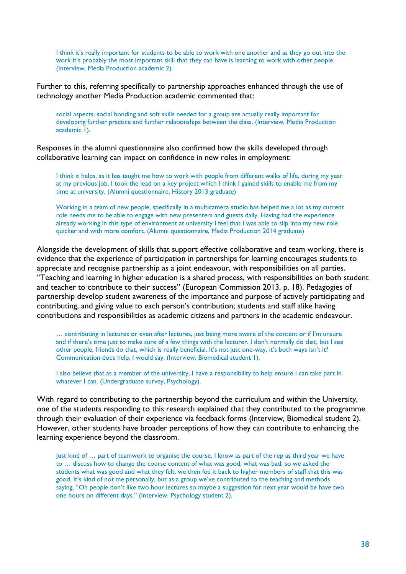I think it's really important for students to be able to work with one another and as they go out into the work it's probably the most important skill that they can have is learning to work with other people. (Interview, Media Production academic 2).

Further to this, referring specifically to partnership approaches enhanced through the use of technology another Media Production academic commented that:

social aspects, social bonding and soft skills needed for a group are actually really important for developing further practice and further relationships between the class. (Interview, Media Production academic 1).

Responses in the alumni questionnaire also confirmed how the skills developed through collaborative learning can impact on confidence in new roles in employment:

I think it helps, as it has taught me how to work with people from different walks of life, during my year at my previous job, I took the lead on a key project which I think I gained skills to enable me from my time at university. (Alumni questionnaire, History 2013 graduate)

Working in a team of new people, specifically in a multicamera studio has helped me a lot as my current role needs me to be able to engage with new presenters and guests daily. Having had the experience already working in this type of environment at university I feel that I was able to slip into my new role quicker and with more comfort. (Alumni questionnaire, Media Production 2014 graduate)

Alongside the development of skills that support effective collaborative and team working, there is evidence that the experience of participation in partnerships for learning encourages students to appreciate and recognise partnership as a joint endeavour, with responsibilities on all parties. "Teaching and learning in higher education is a shared process, with responsibilities on both student and teacher to contribute to their success" (European Commission 2013, p. 18). Pedagogies of partnership develop student awareness of the importance and purpose of actively participating and contributing, and giving value to each person's contribution; students and staff alike having contributions and responsibilities as academic citizens and partners in the academic endeavour.

… contributing in lectures or even after lectures, just being more aware of the content or if I'm unsure and if there's time just to make sure of a few things with the lecturer. I don't normally do that, but I see other people, friends do that, which is really beneficial. It's not just one-way, it's both ways isn't it? Communication does help, I would say. (Interview, Biomedical student 1).

I also believe that as a member of the university, I have a responsibility to help ensure I can take part in whatever I can. (Undergraduate survey, Psychology).

With regard to contributing to the partnership beyond the curriculum and within the University, one of the students responding to this research explained that they contributed to the programme through their evaluation of their experience via feedback forms (Interview, Biomedical student 2). However, other students have broader perceptions of how they can contribute to enhancing the learning experience beyond the classroom.

Just kind of … part of teamwork to organise the course, I know as part of the rep as third year we have to … discuss how to change the course content of what was good, what was bad, so we asked the students what was good and what they felt, we then fed it back to higher members of staff that this was good. It's kind of not me personally, but as a group we've contributed to the teaching and methods saying, "Oh people don't like two hour lectures so maybe a suggestion for next year would be have two one hours on different days." (Interview, Psychology student 2).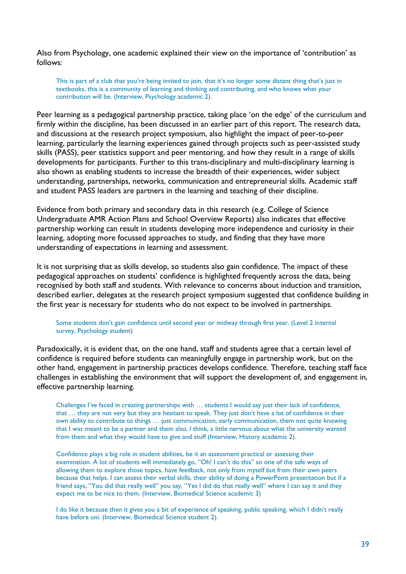Also from Psychology, one academic explained their view on the importance of 'contribution' as follows:

This is part of a club that you're being invited to join, that it's no longer some distant thing that's just in textbooks, this is a community of learning and thinking and contributing, and who knows what your contribution will be. (Interview, Psychology academic 2).

Peer learning as a pedagogical partnership practice, taking place 'on the edge' of the curriculum and firmly within the discipline, has been discussed in an earlier part of this report. The research data, and discussions at the research project symposium, also highlight the impact of peer-to-peer learning, particularly the learning experiences gained through projects such as peer-assisted study skills (PASS), peer statistics support and peer mentoring, and how they result in a range of skills developments for participants. Further to this trans-disciplinary and multi-disciplinary learning is also shown as enabling students to increase the breadth of their experiences, wider subject understanding, partnerships, networks, communication and entrepreneurial skills. Academic staff and student PASS leaders are partners in the learning and teaching of their discipline.

Evidence from both primary and secondary data in this research (e.g. College of Science Undergraduate AMR Action Plans and School Overview Reports) also indicates that effective partnership working can result in students developing more independence and curiosity in their learning, adopting more focussed approaches to study, and finding that they have more understanding of expectations in learning and assessment.

It is not surprising that as skills develop, so students also gain confidence. The impact of these pedagogical approaches on students' confidence is highlighted frequently across the data, being recognised by both staff and students. With relevance to concerns about induction and transition, described earlier, delegates at the research project symposium suggested that confidence building in the first year is necessary for students who do not expect to be involved in partnerships.

#### Some students don't gain confidence until second year or midway through first year. (Level 2 internal survey, Psychology student)

Paradoxically, it is evident that, on the one hand, staff and students agree that a certain level of confidence is required before students can meaningfully engage in partnership work, but on the other hand, engagement in partnership practices develops confidence. Therefore, teaching staff face challenges in establishing the environment that will support the development of, and engagement in, effective partnership learning.

Challenges I've faced in creating partnerships with … students I would say just their lack of confidence, that … they are not very but they are hesitant to speak. They just don't have a lot of confidence in their own ability to contribute to things … just communication, early communication, them not quite knowing that I was meant to be a partner and them also, I think, a little nervous about what the university wanted from them and what they would have to give and stuff (Interview, History academic 2).

Confidence plays a big role in student abilities, be it an assessment practical or assessing their examination. A lot of students will immediately go, "Oh! I can't do this" so one of the safe ways of allowing them to explore those topics, have feedback, not only from myself but from their own peers because that helps. I can assess their verbal skills, their ability of doing a PowerPoint presentation but if a friend says, "You did that really well" you say, "Yes I did do that really well" where I can say it and they expect me to be nice to them. (Interview, Biomedical Science academic 3)

I do like it because then it gives you a bit of experience of speaking, public speaking, which I didn't really have before uni. (Interview, Biomedical Science student 2).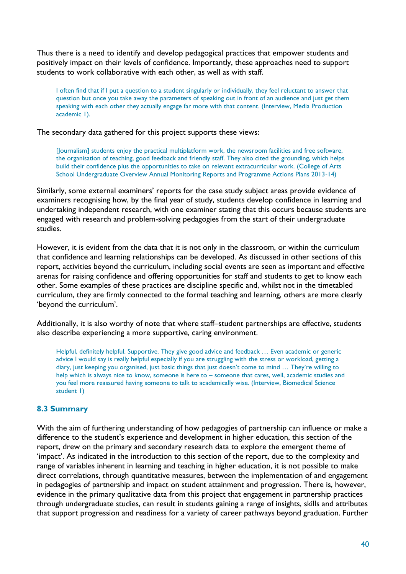Thus there is a need to identify and develop pedagogical practices that empower students and positively impact on their levels of confidence. Importantly, these approaches need to support students to work collaborative with each other, as well as with staff.

I often find that if I put a question to a student singularly or individually, they feel reluctant to answer that question but once you take away the parameters of speaking out in front of an audience and just get them speaking with each other they actually engage far more with that content. (Interview, Media Production academic 1).

The secondary data gathered for this project supports these views:

[Journalism] students enjoy the practical multiplatform work, the newsroom facilities and free software, the organisation of teaching, good feedback and friendly staff. They also cited the grounding, which helps build their confidence plus the opportunities to take on relevant extracurricular work. (College of Arts School Undergraduate Overview Annual Monitoring Reports and Programme Actions Plans 2013-14)

Similarly, some external examiners' reports for the case study subject areas provide evidence of examiners recognising how, by the final year of study, students develop confidence in learning and undertaking independent research, with one examiner stating that this occurs because students are engaged with research and problem-solving pedagogies from the start of their undergraduate studies.

However, it is evident from the data that it is not only in the classroom, or within the curriculum that confidence and learning relationships can be developed. As discussed in other sections of this report, activities beyond the curriculum, including social events are seen as important and effective arenas for raising confidence and offering opportunities for staff and students to get to know each other. Some examples of these practices are discipline specific and, whilst not in the timetabled curriculum, they are firmly connected to the formal teaching and learning, others are more clearly 'beyond the curriculum'.

Additionally, it is also worthy of note that where staff–student partnerships are effective, students also describe experiencing a more supportive, caring environment.

Helpful, definitely helpful. Supportive. They give good advice and feedback … Even academic or generic advice I would say is really helpful especially if you are struggling with the stress or workload, getting a diary, just keeping you organised, just basic things that just doesn't come to mind … They're willing to help which is always nice to know, someone is here to – someone that cares, well, academic studies and you feel more reassured having someone to talk to academically wise. (Interview, Biomedical Science student 1)

## <span id="page-39-0"></span>**8.3 Summary**

With the aim of furthering understanding of how pedagogies of partnership can influence or make a difference to the student's experience and development in higher education, this section of the report, drew on the primary and secondary research data to explore the emergent theme of 'impact'. As indicated in the introduction to this section of the report, due to the complexity and range of variables inherent in learning and teaching in higher education, it is not possible to make direct correlations, through quantitative measures, between the implementation of and engagement in pedagogies of partnership and impact on student attainment and progression. There is, however, evidence in the primary qualitative data from this project that engagement in partnership practices through undergraduate studies, can result in students gaining a range of insights, skills and attributes that support progression and readiness for a variety of career pathways beyond graduation. Further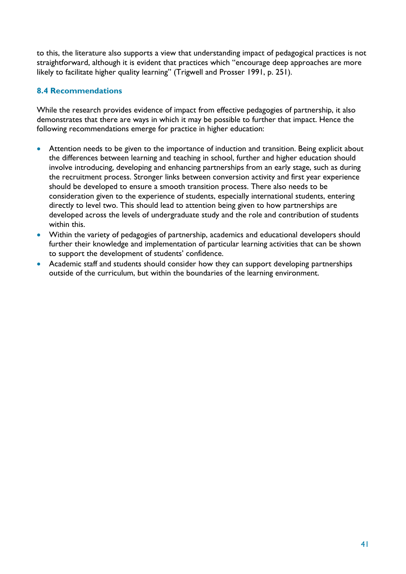to this, the literature also supports a view that understanding impact of pedagogical practices is not straightforward, although it is evident that practices which "encourage deep approaches are more likely to facilitate higher quality learning" (Trigwell and Prosser 1991, p. 251).

## <span id="page-40-0"></span>**8.4 Recommendations**

While the research provides evidence of impact from effective pedagogies of partnership, it also demonstrates that there are ways in which it may be possible to further that impact. Hence the following recommendations emerge for practice in higher education:

- Attention needs to be given to the importance of induction and transition. Being explicit about the differences between learning and teaching in school, further and higher education should involve introducing, developing and enhancing partnerships from an early stage, such as during the recruitment process. Stronger links between conversion activity and first year experience should be developed to ensure a smooth transition process. There also needs to be consideration given to the experience of students, especially international students, entering directly to level two. This should lead to attention being given to how partnerships are developed across the levels of undergraduate study and the role and contribution of students within this.
- Within the variety of pedagogies of partnership, academics and educational developers should further their knowledge and implementation of particular learning activities that can be shown to support the development of students' confidence.
- Academic staff and students should consider how they can support developing partnerships outside of the curriculum, but within the boundaries of the learning environment.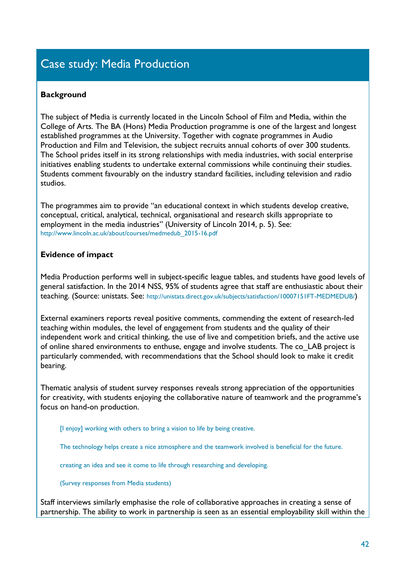# <span id="page-41-0"></span>Case study: Media Production

## **Background**

The subject of Media is currently located in the Lincoln School of Film and Media, within the College of Arts. The BA (Hons) Media Production programme is one of the largest and longest established programmes at the University. Together with cognate programmes in Audio Production and Film and Television, the subject recruits annual cohorts of over 300 students. The School prides itself in its strong relationships with media industries, with social enterprise initiatives enabling students to undertake external commissions while continuing their studies. Students comment favourably on the industry standard facilities, including television and radio studios.

The programmes aim to provide "an educational context in which students develop creative, conceptual, critical, analytical, technical, organisational and research skills appropriate to employment in the media industries" (University of Lincoln 2014, p. 5). See: [http://www.lincoln.ac.uk/about/courses/medmedub\\_2015-16.pdf](http://www.lincoln.ac.uk/about/courses/medmedub_2015-16.pdf)

## **Evidence of impact**

Media Production performs well in subject-specific league tables, and students have good levels of general satisfaction. In the 2014 NSS, 95% of students agree that staff are enthusiastic about their teaching. (Source: unistats. See: <http://unistats.direct.gov.uk/subjects/satisfaction/10007151FT-MEDMEDUB/>)

External examiners reports reveal positive comments, commending the extent of research-led teaching within modules, the level of engagement from students and the quality of their independent work and critical thinking, the use of live and competition briefs, and the active use of online shared environments to enthuse, engage and involve students. The co\_LAB project is particularly commended, with recommendations that the School should look to make it credit bearing.

Thematic analysis of student survey responses reveals strong appreciation of the opportunities for creativity, with students enjoying the collaborative nature of teamwork and the programme's focus on hand-on production.

[I enjoy] working with others to bring a vision to life by being creative.

The technology helps create a nice atmosphere and the teamwork involved is beneficial for the future.

creating an idea and see it come to life through researching and developing.

(Survey responses from Media students)

Staff interviews similarly emphasise the role of collaborative approaches in creating a sense of partnership. The ability to work in partnership is seen as an essential employability skill within the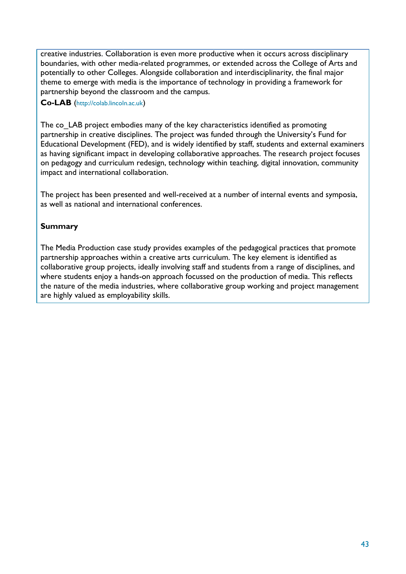creative industries. Collaboration is even more productive when it occurs across disciplinary boundaries, with other media-related programmes, or extended across the College of Arts and potentially to other Colleges. Alongside collaboration and interdisciplinarity, the final major theme to emerge with media is the importance of technology in providing a framework for partnership beyond the classroom and the campus.

### **Co-LAB** ([http://colab.lincoln.ac.uk](http://colab.lincoln.ac.uk/))

The co LAB project embodies many of the key characteristics identified as promoting partnership in creative disciplines. The project was funded through the University's Fund for Educational Development (FED), and is widely identified by staff, students and external examiners as having significant impact in developing collaborative approaches. The research project focuses on pedagogy and curriculum redesign, technology within teaching, digital innovation, community impact and international collaboration.

The project has been presented and well-received at a number of internal events and symposia, as well as national and international conferences.

## **Summary**

The Media Production case study provides examples of the pedagogical practices that promote partnership approaches within a creative arts curriculum. The key element is identified as collaborative group projects, ideally involving staff and students from a range of disciplines, and where students enjoy a hands-on approach focussed on the production of media. This reflects the nature of the media industries, where collaborative group working and project management are highly valued as employability skills.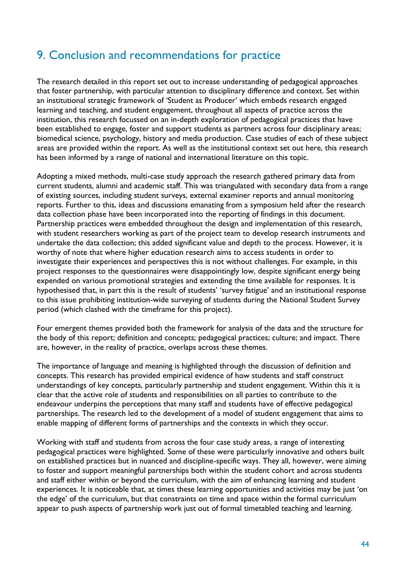## <span id="page-43-0"></span>9. Conclusion and recommendations for practice

The research detailed in this report set out to increase understanding of pedagogical approaches that foster partnership, with particular attention to disciplinary difference and context. Set within an institutional strategic framework of 'Student as Producer' which embeds research engaged learning and teaching, and student engagement, throughout all aspects of practice across the institution, this research focussed on an in-depth exploration of pedagogical practices that have been established to engage, foster and support students as partners across four disciplinary areas; biomedical science, psychology, history and media production. Case studies of each of these subject areas are provided within the report. As well as the institutional context set out here, this research has been informed by a range of national and international literature on this topic.

Adopting a mixed methods, multi-case study approach the research gathered primary data from current students, alumni and academic staff. This was triangulated with secondary data from a range of existing sources, including student surveys, external examiner reports and annual monitoring reports. Further to this, ideas and discussions emanating from a symposium held after the research data collection phase have been incorporated into the reporting of findings in this document. Partnership practices were embedded throughout the design and implementation of this research, with student researchers working as part of the project team to develop research instruments and undertake the data collection; this added significant value and depth to the process. However, it is worthy of note that where higher education research aims to access students in order to investigate their experiences and perspectives this is not without challenges. For example, in this project responses to the questionnaires were disappointingly low, despite significant energy being expended on various promotional strategies and extending the time available for responses. It is hypothesised that, in part this is the result of students' 'survey fatigue' and an institutional response to this issue prohibiting institution-wide surveying of students during the National Student Survey period (which clashed with the timeframe for this project).

Four emergent themes provided both the framework for analysis of the data and the structure for the body of this report; definition and concepts; pedagogical practices; culture; and impact. There are, however, in the reality of practice, overlaps across these themes.

The importance of language and meaning is highlighted through the discussion of definition and concepts. This research has provided empirical evidence of how students and staff construct understandings of key concepts, particularly partnership and student engagement. Within this it is clear that the active role of students and responsibilities on all parties to contribute to the endeavour underpins the perceptions that many staff and students have of effective pedagogical partnerships. The research led to the development of a model of student engagement that aims to enable mapping of different forms of partnerships and the contexts in which they occur.

Working with staff and students from across the four case study areas, a range of interesting pedagogical practices were highlighted. Some of these were particularly innovative and others built on established practices but in nuanced and discipline-specific ways. They all, however, were aiming to foster and support meaningful partnerships both within the student cohort and across students and staff either within or beyond the curriculum, with the aim of enhancing learning and student experiences. It is noticeable that, at times these learning opportunities and activities may be just 'on the edge' of the curriculum, but that constraints on time and space within the formal curriculum appear to push aspects of partnership work just out of formal timetabled teaching and learning.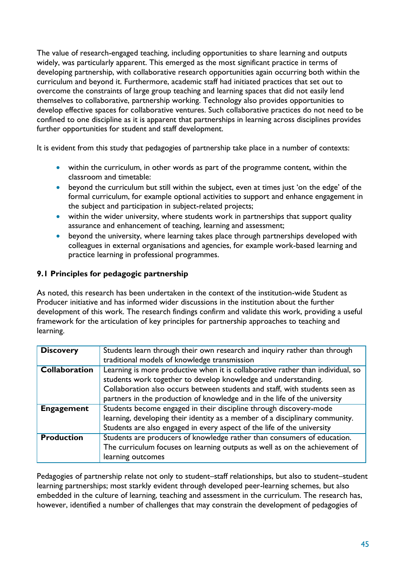The value of research-engaged teaching, including opportunities to share learning and outputs widely, was particularly apparent. This emerged as the most significant practice in terms of developing partnership, with collaborative research opportunities again occurring both within the curriculum and beyond it. Furthermore, academic staff had initiated practices that set out to overcome the constraints of large group teaching and learning spaces that did not easily lend themselves to collaborative, partnership working. Technology also provides opportunities to develop effective spaces for collaborative ventures. Such collaborative practices do not need to be confined to one discipline as it is apparent that partnerships in learning across disciplines provides further opportunities for student and staff development.

It is evident from this study that pedagogies of partnership take place in a number of contexts:

- within the curriculum, in other words as part of the programme content, within the classroom and timetable:
- beyond the curriculum but still within the subject, even at times just 'on the edge' of the formal curriculum, for example optional activities to support and enhance engagement in the subject and participation in subject-related projects;
- within the wider university, where students work in partnerships that support quality assurance and enhancement of teaching, learning and assessment;
- beyond the university, where learning takes place through partnerships developed with colleagues in external organisations and agencies, for example work-based learning and practice learning in professional programmes.

## <span id="page-44-0"></span>**9.1 Principles for pedagogic partnership**

As noted, this research has been undertaken in the context of the institution-wide Student as Producer initiative and has informed wider discussions in the institution about the further development of this work. The research findings confirm and validate this work, providing a useful framework for the articulation of key principles for partnership approaches to teaching and learning.

| <b>Discovery</b>  | Students learn through their own research and inquiry rather than through                                                                                                                                                                                                                                     |
|-------------------|---------------------------------------------------------------------------------------------------------------------------------------------------------------------------------------------------------------------------------------------------------------------------------------------------------------|
|                   | traditional models of knowledge transmission                                                                                                                                                                                                                                                                  |
| Collaboration     | Learning is more productive when it is collaborative rather than individual, so<br>students work together to develop knowledge and understanding.<br>Collaboration also occurs between students and staff, with students seen as<br>partners in the production of knowledge and in the life of the university |
| <b>Engagement</b> | Students become engaged in their discipline through discovery-mode<br>learning, developing their identity as a member of a disciplinary community.<br>Students are also engaged in every aspect of the life of the university                                                                                 |
| <b>Production</b> | Students are producers of knowledge rather than consumers of education.<br>The curriculum focuses on learning outputs as well as on the achievement of<br>learning outcomes                                                                                                                                   |

Pedagogies of partnership relate not only to student–staff relationships, but also to student–student learning partnerships; most starkly evident through developed peer-learning schemes, but also embedded in the culture of learning, teaching and assessment in the curriculum. The research has, however, identified a number of challenges that may constrain the development of pedagogies of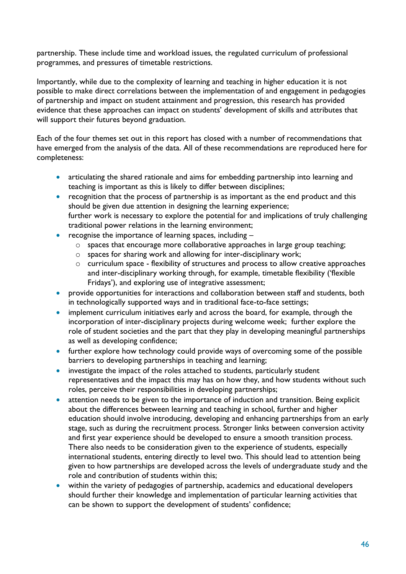partnership. These include time and workload issues, the regulated curriculum of professional programmes, and pressures of timetable restrictions.

Importantly, while due to the complexity of learning and teaching in higher education it is not possible to make direct correlations between the implementation of and engagement in pedagogies of partnership and impact on student attainment and progression, this research has provided evidence that these approaches can impact on students' development of skills and attributes that will support their futures beyond graduation.

Each of the four themes set out in this report has closed with a number of recommendations that have emerged from the analysis of the data. All of these recommendations are reproduced here for completeness:

- articulating the shared rationale and aims for embedding partnership into learning and teaching is important as this is likely to differ between disciplines;
- recognition that the process of partnership is as important as the end product and this should be given due attention in designing the learning experience; further work is necessary to explore the potential for and implications of truly challenging traditional power relations in the learning environment;
- recognise the importance of learning spaces, including
	- o spaces that encourage more collaborative approaches in large group teaching;
	- o spaces for sharing work and allowing for inter-disciplinary work;
	- o curriculum space flexibility of structures and process to allow creative approaches and inter-disciplinary working through, for example, timetable flexibility ('flexible Fridays'), and exploring use of integrative assessment;
- **•** provide opportunities for interactions and collaboration between staff and students, both in technologically supported ways and in traditional face-to-face settings;
- implement curriculum initiatives early and across the board, for example, through the incorporation of inter-disciplinary projects during welcome week; further explore the role of student societies and the part that they play in developing meaningful partnerships as well as developing confidence;
- further explore how technology could provide ways of overcoming some of the possible barriers to developing partnerships in teaching and learning;
- investigate the impact of the roles attached to students, particularly student representatives and the impact this may has on how they, and how students without such roles, perceive their responsibilities in developing partnerships;
- attention needs to be given to the importance of induction and transition. Being explicit about the differences between learning and teaching in school, further and higher education should involve introducing, developing and enhancing partnerships from an early stage, such as during the recruitment process. Stronger links between conversion activity and first year experience should be developed to ensure a smooth transition process. There also needs to be consideration given to the experience of students, especially international students, entering directly to level two. This should lead to attention being given to how partnerships are developed across the levels of undergraduate study and the role and contribution of students within this;
- within the variety of pedagogies of partnership, academics and educational developers should further their knowledge and implementation of particular learning activities that can be shown to support the development of students' confidence;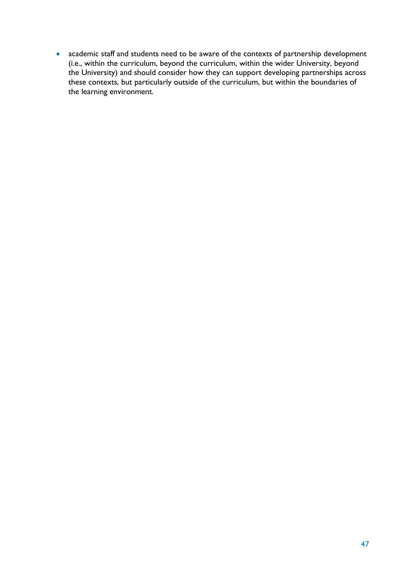academic staff and students need to be aware of the contexts of partnership development (i.e., within the curriculum, beyond the curriculum, within the wider University, beyond the University) and should consider how they can support developing partnerships across these contexts, but particularly outside of the curriculum, but within the boundaries of the learning environment.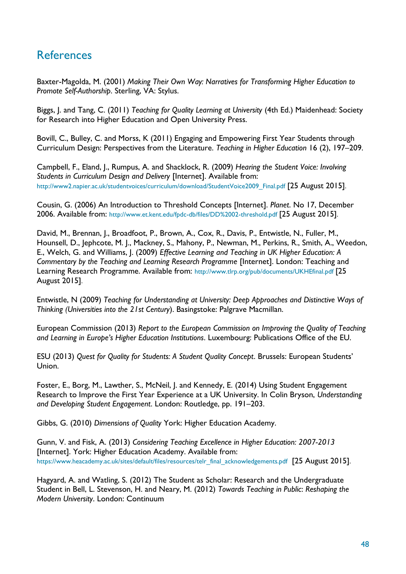## <span id="page-47-0"></span>**References**

Baxter-Magolda, M. (2001) *Making Their Own Way: Narratives for Transforming Higher Education to Promote Self-Authorship*. Sterling, VA: Stylus.

Biggs, J. and Tang, C. (2011) *Teaching for Quality Learning at University* (4th Ed.) Maidenhead: Society for Research into Higher Education and Open University Press.

Bovill, C., Bulley, C. and Morss, K (2011) Engaging and Empowering First Year Students through Curriculum Design: Perspectives from the Literature. *Teaching in Higher Education* 16 (2), 197–209.

Campbell, F., Eland, J., Rumpus, A. and Shacklock, R. (2009) *Hearing the Student Voice: Involving Students in Curriculum Design and Delivery* [Internet]. Available from: [http://www2.napier.ac.uk/studentvoices/curriculum/download/StudentVoice2009\\_Final.pdf](http://www2.napier.ac.uk/studentvoices/curriculum/download/StudentVoice2009_Final.pdf) [25 August 2015].

Cousin, G. (2006) An Introduction to Threshold Concepts [Internet]. *Planet*. No 17, December 2006. Available from: <http://www.et.kent.edu/fpdc-db/files/DD%2002-threshold.pdf> [25 August 2015].

David, M., Brennan, J., Broadfoot, P., Brown, A., Cox, R., Davis, P., Entwistle, N., Fuller, M., Hounsell, D., [Jephcote, M. J.,](http://orca.cf.ac.uk/view/cardiffauthors/A041891K.html) Mackney, S., Mahony, P., Newman, M., Perkins, R., Smith, A., Weedon, E., Welch, G. and Williams, J. (2009) *Effective Learning and Teaching in UK Higher Education: A Commentary by the Teaching and Learning Research Programme [Internet]. London: Teaching and* Learning Research Programme. Available from: <http://www.tlrp.org/pub/documents/UKHEfinal.pdf> [25 August 2015].

Entwistle, N (2009) *Teaching for Understanding at University: Deep Approaches and Distinctive Ways of Thinking (Universities into the 21st Century*). Basingstoke: Palgrave Macmillan.

European Commission (2013) *Report to the European Commission on Improving the Quality of Teaching and Learning in Europe's Higher Education Institutions*. Luxembourg: Publications Office of the EU.

ESU (2013) *Quest for Quality for Students: A Student Quality Concept*. Brussels: European Students' Union.

Foster, E., Borg, M., Lawther, S., McNeil, J. and Kennedy, E. (2014) Using Student Engagement Research to Improve the First Year Experience at a UK University. In Colin Bryson, *Understanding and Developing Student Engagement*. London: Routledge, pp. 191–203.

Gibbs, G. (2010) *Dimensions of Quality* York: Higher Education Academy.

Gunn, V. and Fisk, A. (2013) *Considering Teaching Excellence in Higher Education: 2007-2013*  [Internet]. York: Higher Education Academy. Available from: [https://www.heacademy.ac.uk/sites/default/files/resources/telr\\_final\\_acknowledgements.pdf](https://www.heacademy.ac.uk/sites/default/files/resources/telr_final_acknowledgements.pdf) [25 August 2015].

Hagyard, A. and Watling, S. (2012) The Student as Scholar: Research and the Undergraduate Student in Bell, L. Stevenson, H. and Neary, M. (2012) *Towards Teaching in Public*: *Reshaping the Modern University*. London: Continuum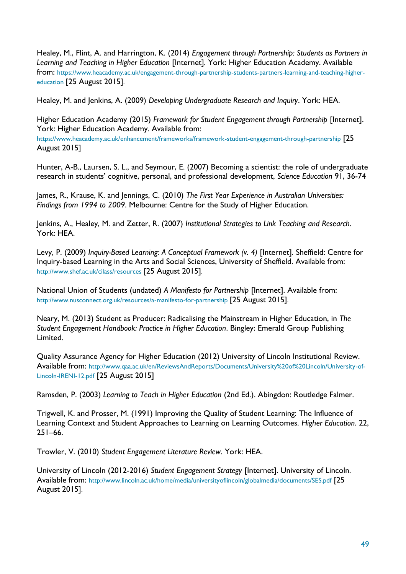Healey, M., Flint, A. and Harrington, K. (2014) *Engagement through Partnership: Students as Partners in Learning and Teaching in Higher Education* [Internet]*.* York: Higher Education Academy. Available from: [https://www.heacademy.ac.uk/engagement-through-partnership-students-partners-learning-and-teaching-higher](https://www.heacademy.ac.uk/engagement-through-partnership-students-partners-learning-and-teaching-higher-education)[education](https://www.heacademy.ac.uk/engagement-through-partnership-students-partners-learning-and-teaching-higher-education) [25 August 2015].

Healey, M. and Jenkins, A. (2009) *Developing Undergraduate Research and Inquiry*. York: HEA.

Higher Education Academy (2015) *Framework for Student Engagement through Partnership* [Internet]. York: Higher Education Academy. Available from: <https://www.heacademy.ac.uk/enhancement/frameworks/framework-student-engagement-through-partnership> [25 August 2015]

Hunter, A-B., Laursen, S. L., and Seymour, E. (2007) Becoming a scientist: the role of undergraduate research in students' cognitive, personal, and professional development, *Science Education* 91, 36-74

James, R., Krause, K. and Jennings, C. (2010) *The First Year Experience in Australian Universities: Findings from 1994 to 2009*. Melbourne: Centre for the Study of Higher Education.

Jenkins, A., Healey, M. and Zetter, R. (2007) *Institutional Strategies to Link Teaching and Research*. York: HEA.

Levy, P. (2009) *Inquiry-Based Learning: A Conceptual Framework (v. 4)* [Internet]*.* Sheffield: Centre for Inquiry-based Learning in the Arts and Social Sciences, University of Sheffield. Available from: <http://www.shef.ac.uk/cilass/resources> [25 August 2015].

National Union of Students (undated) *A Manifesto for Partnership* [Internet]. Available from: <http://www.nusconnect.org.uk/resources/a-manifesto-for-partnership> [25 August 2015].

Neary, M. (2013) Student as Producer: Radicalising the Mainstream in Higher Education, in *The Student Engagement Handbook: Practice in Higher Education*. Bingley: Emerald Group Publishing Limited.

Quality Assurance Agency for Higher Education (2012) University of Lincoln Institutional Review. Available from: [http://www.qaa.ac.uk/en/ReviewsAndReports/Documents/University%20of%20Lincoln/University-of-](http://www.qaa.ac.uk/en/ReviewsAndReports/Documents/University%20of%20Lincoln/University-of-Lincoln-IRENI-12.pdf)[Lincoln-IRENI-12.pdf](http://www.qaa.ac.uk/en/ReviewsAndReports/Documents/University%20of%20Lincoln/University-of-Lincoln-IRENI-12.pdf) [25 August 2015]

Ramsden, P. (2003) *Learning to Teach in Higher Education* (2nd Ed.). Abingdon: Routledge Falmer.

Trigwell, K. and Prosser, M. (1991) Improving the Quality of Student Learning: The Influence of Learning Context and Student Approaches to Learning on Learning Outcomes. *Higher Education*. 22, 251–66.

Trowler, V. (2010) *Student Engagement Literature Review*. York: HEA.

University of Lincoln (2012-2016) *Student Engagement Strategy* [Internet]. University of Lincoln. Available from: <http://www.lincoln.ac.uk/home/media/universityoflincoln/globalmedia/documents/SES.pdf> [25 August 2015].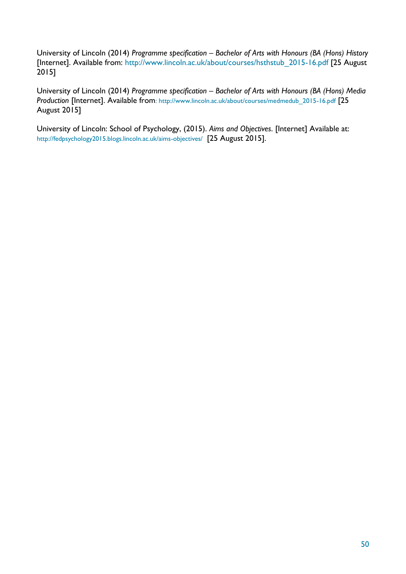University of Lincoln (2014) *Programme specification – Bachelor of Arts with Honours (BA (Hons) History*  [Internet]. Available from: [http://www.lincoln.ac.uk/about/courses/hsthstub\\_2015-16.pdf](http://www.lincoln.ac.uk/about/courses/hsthstub_2015-16.pdf) [25 August 2015]

University of Lincoln (2014) *Programme specification – Bachelor of Arts with Honours (BA (Hons) Media Production [Internet]. Available from: [http://www.lincoln.ac.uk/about/courses/medmedub\\_2015-16.pdf](http://www.lincoln.ac.uk/about/courses/medmedub_2015-16.pdf) [25]* August 2015]

University of Lincoln: School of Psychology, (2015). *Aims and Objectives*. [Internet] Available at: <http://fedpsychology2015.blogs.lincoln.ac.uk/aims-objectives/> [25 August 2015].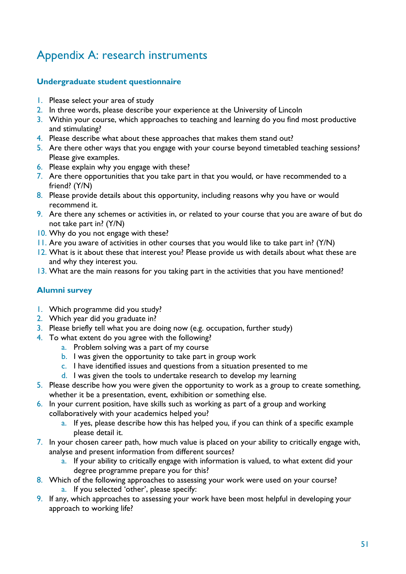# <span id="page-50-0"></span>Appendix A: research instruments

## <span id="page-50-1"></span>**Undergraduate student questionnaire**

- 1. Please select your area of study
- 2. In three words, please describe your experience at the University of Lincoln
- 3. Within your course, which approaches to teaching and learning do you find most productive and stimulating?
- 4. Please describe what about these approaches that makes them stand out?
- 5. Are there other ways that you engage with your course beyond timetabled teaching sessions? Please give examples.
- 6. Please explain why you engage with these?
- 7. Are there opportunities that you take part in that you would, or have recommended to a friend? (Y/N)
- 8. Please provide details about this opportunity, including reasons why you have or would recommend it.
- 9. Are there any schemes or activities in, or related to your course that you are aware of but do not take part in? (Y/N)
- 10. Why do you not engage with these?
- 11. Are you aware of activities in other courses that you would like to take part in? (Y/N)
- 12. What is it about these that interest you? Please provide us with details about what these are and why they interest you.
- 13. What are the main reasons for you taking part in the activities that you have mentioned?

## <span id="page-50-2"></span>**Alumni survey**

- 1. Which programme did you study?
- 2. Which year did you graduate in?
- 3. Please briefly tell what you are doing now (e.g. occupation, further study)
- 4. To what extent do you agree with the following?
	- a. Problem solving was a part of my course
	- b. I was given the opportunity to take part in group work
	- c. I have identified issues and questions from a situation presented to me
	- d. I was given the tools to undertake research to develop my learning
- 5. Please describe how you were given the opportunity to work as a group to create something, whether it be a presentation, event, exhibition or something else.
- 6. In your current position, have skills such as working as part of a group and working collaboratively with your academics helped you?
	- a. If yes, please describe how this has helped you, if you can think of a specific example please detail it.
- 7. In your chosen career path, how much value is placed on your ability to critically engage with, analyse and present information from different sources?
	- a. If your ability to critically engage with information is valued, to what extent did your degree programme prepare you for this?
- 8. Which of the following approaches to assessing your work were used on your course? a. If you selected 'other', please specify:
- 9. If any, which approaches to assessing your work have been most helpful in developing your approach to working life?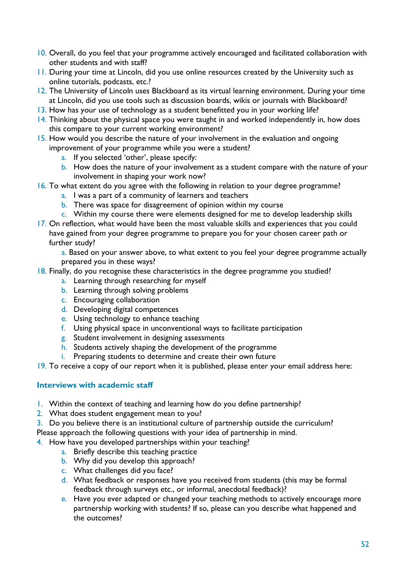- 10. Overall, do you feel that your programme actively encouraged and facilitated collaboration with other students and with staff?
- **11.** During your time at Lincoln, did you use online resources created by the University such as online tutorials, podcasts, etc.?
- 12. The University of Lincoln uses Blackboard as its virtual learning environment. During your time at Lincoln, did you use tools such as discussion boards, wikis or journals with Blackboard?
- 13. How has your use of technology as a student benefitted you in your working life?
- 14. Thinking about the physical space you were taught in and worked independently in, how does this compare to your current working environment?
- 15. How would you describe the nature of your involvement in the evaluation and ongoing improvement of your programme while you were a student?
	- a. If you selected 'other', please specify:
	- b. How does the nature of your involvement as a student compare with the nature of your involvement in shaping your work now?
- 16. To what extent do you agree with the following in relation to your degree programme?
	- a. I was a part of a community of learners and teachers
	- b. There was space for disagreement of opinion within my course
	- c. Within my course there were elements designed for me to develop leadership skills
- 17. On reflection, what would have been the most valuable skills and experiences that you could have gained from your degree programme to prepare you for your chosen career path or further study?

a. Based on your answer above, to what extent to you feel your degree programme actually prepared you in these ways?

- 18. Finally, do you recognise these characteristics in the degree programme you studied?
	- a. Learning through researching for myself
	- b. Learning through solving problems
	- c. Encouraging collaboration
	- d. Developing digital competences
	- e. Using technology to enhance teaching
	- f. Using physical space in unconventional ways to facilitate participation
	- g. Student involvement in designing assessments
	- h. Students actively shaping the development of the programme
	- i. Preparing students to determine and create their own future
- 19. To receive a copy of our report when it is published, please enter your email address here:

### <span id="page-51-0"></span>**Interviews with academic staff**

- 1. Within the context of teaching and learning how do you define partnership?
- 2. What does student engagement mean to you?
- 3. Do you believe there is an institutional culture of partnership outside the curriculum?

Please approach the following questions with your idea of partnership in mind.

- 4. How have you developed partnerships within your teaching?
	- a. Briefly describe this teaching practice
	- b. Why did you develop this approach?
	- c. What challenges did you face?
	- d. What feedback or responses have you received from students (this may be formal feedback through surveys etc., or informal, anecdotal feedback)?
	- e. Have you ever adapted or changed your teaching methods to actively encourage more partnership working with students? If so, please can you describe what happened and the outcomes?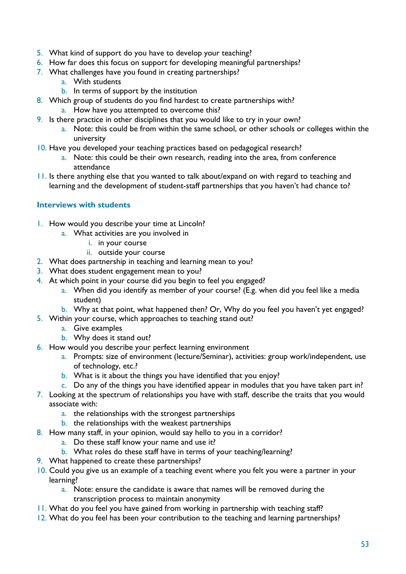- 5. What kind of support do you have to develop your teaching?
- 6. How far does this focus on support for developing meaningful partnerships?
- 7. What challenges have you found in creating partnerships?
	- a. With students
	- b. In terms of support by the institution
- 8. Which group of students do you find hardest to create partnerships with?
	- a. How have you attempted to overcome this?
- 9. Is there practice in other disciplines that you would like to try in your own?
	- a. Note: this could be from within the same school, or other schools or colleges within the university
- 10. Have you developed your teaching practices based on pedagogical research?
	- a. Note: this could be their own research, reading into the area, from conference attendance
- 11. Is there anything else that you wanted to talk about/expand on with regard to teaching and learning and the development of student-staff partnerships that you haven't had chance to?

## <span id="page-52-0"></span>**Interviews with students**

- 1. How would you describe your time at Lincoln?
	- a. What activities are you involved in
		- i. in your course
		- ii. outside your course
- 2. What does partnership in teaching and learning mean to you?
- 3. What does student engagement mean to you?
- 4. At which point in your course did you begin to feel you engaged?
	- a. When did you identify as member of your course? (E.g. when did you feel like a media student)
	- b. Why at that point, what happened then? Or, Why do you feel you haven't yet engaged?
- 5. Within your course, which approaches to teaching stand out?
	- a. Give examples
	- b. Why does it stand out?
- 6. How would you describe your perfect learning environment
	- a. Prompts: size of environment (lecture/Seminar), activities: group work/independent, use of technology, etc.?
	- b. What is it about the things you have identified that you enjoy?
	- c. Do any of the things you have identified appear in modules that you have taken part in?
- 7. Looking at the spectrum of relationships you have with staff, describe the traits that you would associate with:
	- a. the relationships with the strongest partnerships
	- b. the relationships with the weakest partnerships
- 8. How many staff, in your opinion, would say hello to you in a corridor?
	- a. Do these staff know your name and use it?
	- b. What roles do these staff have in terms of your teaching/learning?
- 9. What happened to create these partnerships?
- 10. Could you give us an example of a teaching event where you felt you were a partner in your learning?
	- a. Note: ensure the candidate is aware that names will be removed during the transcription process to maintain anonymity
- 11. What do you feel you have gained from working in partnership with teaching staff?
- 12. What do you feel has been your contribution to the teaching and learning partnerships?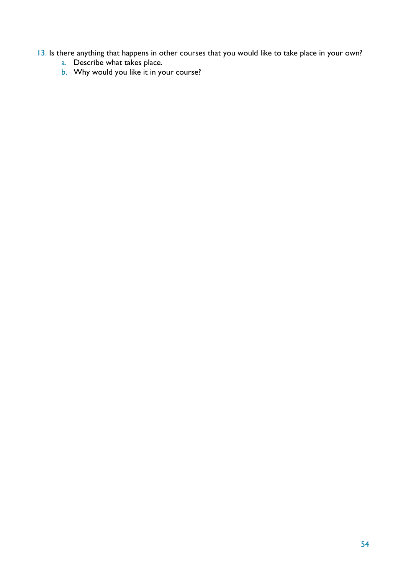## 13. Is there anything that happens in other courses that you would like to take place in your own?

- a. Describe what takes place.
- b. Why would you like it in your course?